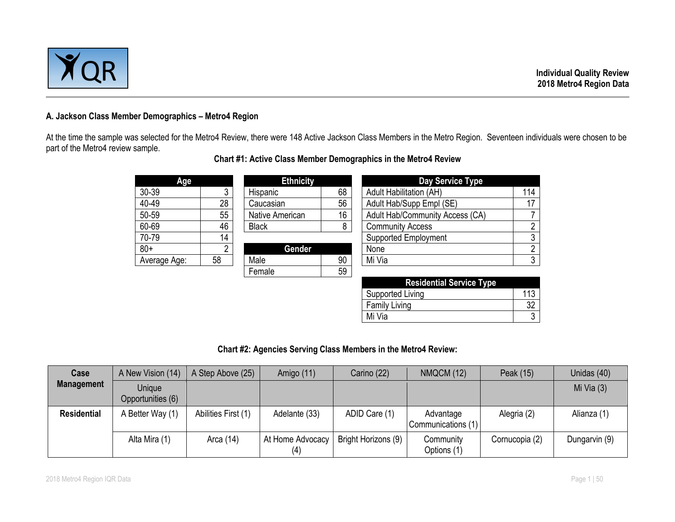

### **A. Jackson Class Member Demographics – Metro4 Region**

At the time the sample was selected for the Metro4 Review, there were 148 Active Jackson Class Members in the Metro Region. Seventeen individuals were chosen to be part of the Metro4 review sample.

| Age          |    | <b>Ethnicity</b> |    | Day Service Type                |     |  |  |  |
|--------------|----|------------------|----|---------------------------------|-----|--|--|--|
| 30-39        | າ  | Hispanic         | 68 | <b>Adult Habilitation (AH)</b>  | 114 |  |  |  |
| 40-49        | 28 | Caucasian        | 56 | Adult Hab/Supp Empl (SE)        | 17  |  |  |  |
| 50-59        | 55 | Native American  | 16 | Adult Hab/Community Access (CA) |     |  |  |  |
| 60-69        | 46 | <b>Black</b>     | 8  | <b>Community Access</b>         | 2   |  |  |  |
| 70-79        | 14 |                  |    | <b>Supported Employment</b>     | 3   |  |  |  |
| $80+$        | ົ  | Gender           |    | None                            | 2   |  |  |  |
| Average Age: | 58 | Male             | 90 | Mi Via                          | 3   |  |  |  |
|              |    | Female           | 59 |                                 |     |  |  |  |

# **Chart #1: Active Class Member Demographics in the Metro4 Review**

| <b>Residential Service Type</b> |     |
|---------------------------------|-----|
| Supported Living                | 113 |
| <b>Family Living</b>            |     |
| Mi Via                          |     |

# **Chart #2: Agencies Serving Class Members in the Metro4 Review:**

| Case               | A New Vision (14)           | A Step Above (25)   | Amigo (11)              | Carino (22)         | NMQCM (12)                      | Peak (15)      | Unidas (40)   |
|--------------------|-----------------------------|---------------------|-------------------------|---------------------|---------------------------------|----------------|---------------|
| <b>Management</b>  | Unique<br>Opportunities (6) |                     |                         |                     |                                 |                | Mi Via $(3)$  |
| <b>Residential</b> | A Better Way (1)            | Abilities First (1) | Adelante (33)           | ADID Care (1)       | Advantage<br>Communications (1) | Alegria (2)    | Alianza (1)   |
|                    | Alta Mira (1)               | Arca (14)           | At Home Advocacy<br>(4) | Bright Horizons (9) | Community<br>Options (1)        | Cornucopia (2) | Dungarvin (9) |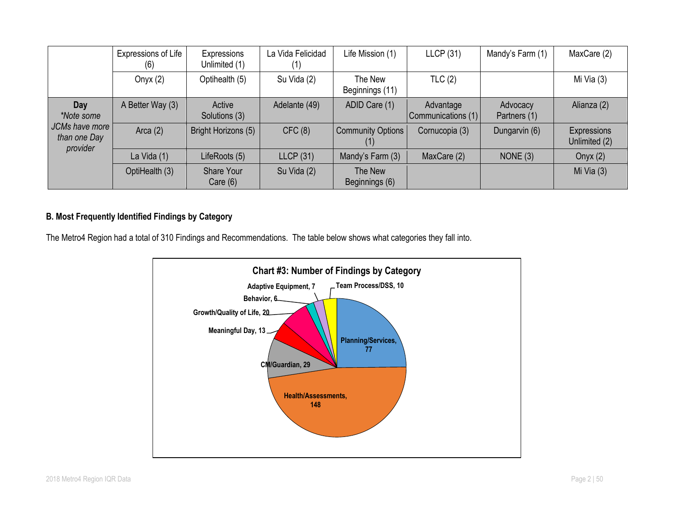|                                            | Expressions of Life<br>(6) | Expressions<br>Unlimited (1) | La Vida Felicidad<br>$\left(1\right)$ | Life Mission (1)                | LLCP(31)                        | Mandy's Farm (1)         | MaxCare (2)                  |
|--------------------------------------------|----------------------------|------------------------------|---------------------------------------|---------------------------------|---------------------------------|--------------------------|------------------------------|
|                                            | Onyx $(2)$                 | Optihealth (5)               | Su Vida (2)                           | The New<br>Beginnings (11)      | TLC(2)                          |                          | Mi Via (3)                   |
| Day<br>*Note some                          | A Better Way (3)           | Active<br>Solutions (3)      | Adelante (49)                         | ADID Care (1)                   | Advantage<br>Communications (1) | Advocacy<br>Partners (1) | Alianza (2)                  |
| JCMs have more<br>than one Day<br>provider | Arca $(2)$                 | Bright Horizons (5)          | CFC(8)                                | <b>Community Options</b><br>(1) | Cornucopia (3)                  | Dungarvin (6)            | Expressions<br>Unlimited (2) |
|                                            | La Vida (1)                | LifeRoots (5)                | LLCP(31)                              | Mandy's Farm (3)                | MaxCare (2)                     | NONE $(3)$               | Onyx $(2)$                   |
|                                            | OptiHealth (3)             | Share Your<br>Care $(6)$     | Su Vida (2)                           | The New<br>Beginnings (6)       |                                 |                          | Mi Via $(3)$                 |

# **B. Most Frequently Identified Findings by Category**

The Metro4 Region had a total of 310 Findings and Recommendations. The table below shows what categories they fall into.

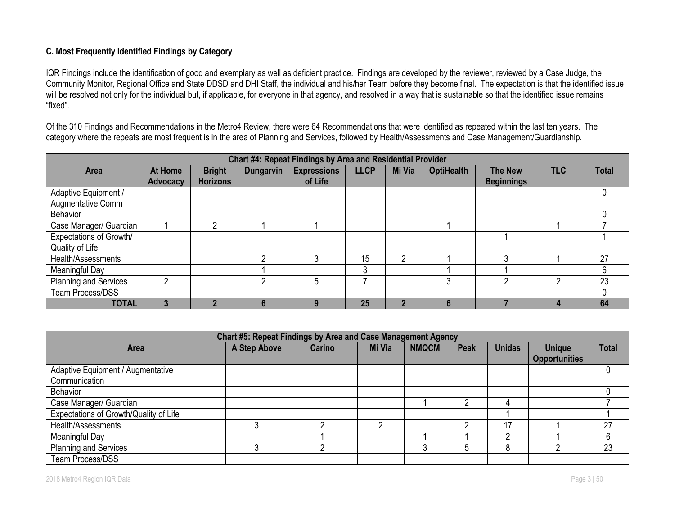# **C. Most Frequently Identified Findings by Category**

IQR Findings include the identification of good and exemplary as well as deficient practice. Findings are developed by the reviewer, reviewed by a Case Judge, the Community Monitor, Regional Office and State DDSD and DHI Staff, the individual and his/her Team before they become final. The expectation is that the identified issue will be resolved not only for the individual but, if applicable, for everyone in that agency, and resolved in a way that is sustainable so that the identified issue remains "fixed".

Of the 310 Findings and Recommendations in the Metro4 Review, there were 64 Recommendations that were identified as repeated within the last ten years. The category where the repeats are most frequent is in the area of Planning and Services, followed by Health/Assessments and Case Management/Guardianship.

| Chart #4: Repeat Findings by Area and Residential Provider |                 |                 |                  |                    |             |        |                   |                   |            |              |  |
|------------------------------------------------------------|-----------------|-----------------|------------------|--------------------|-------------|--------|-------------------|-------------------|------------|--------------|--|
| <b>Area</b>                                                | At Home         | <b>Bright</b>   | <b>Dungarvin</b> | <b>Expressions</b> | <b>LLCP</b> | Mi Via | <b>OptiHealth</b> | <b>The New</b>    | <b>TLC</b> | <b>Total</b> |  |
|                                                            | <b>Advocacy</b> | <b>Horizons</b> |                  | of Life            |             |        |                   | <b>Beginnings</b> |            |              |  |
| Adaptive Equipment /                                       |                 |                 |                  |                    |             |        |                   |                   |            |              |  |
| Augmentative Comm                                          |                 |                 |                  |                    |             |        |                   |                   |            |              |  |
| Behavior                                                   |                 |                 |                  |                    |             |        |                   |                   |            |              |  |
| Case Manager/ Guardian                                     |                 | Ω               |                  |                    |             |        |                   |                   |            |              |  |
| Expectations of Growth/                                    |                 |                 |                  |                    |             |        |                   |                   |            |              |  |
| Quality of Life                                            |                 |                 |                  |                    |             |        |                   |                   |            |              |  |
| Health/Assessments                                         |                 |                 | ∩                |                    | 15          | ∩      |                   | ኅ                 |            | 27           |  |
| Meaningful Day                                             |                 |                 |                  |                    |             |        |                   |                   |            | 6            |  |
| Planning and Services                                      |                 |                 | റ                | 5                  |             |        | ົ                 |                   | റ          | 23           |  |
| Team Process/DSS                                           |                 |                 |                  |                    |             |        |                   |                   |            |              |  |
| <b>TOTAL</b>                                               |                 |                 |                  |                    | 25          |        |                   |                   |            | 64           |  |

| Chart #5: Repeat Findings by Area and Case Management Agency |              |        |        |              |             |               |                                       |              |  |  |
|--------------------------------------------------------------|--------------|--------|--------|--------------|-------------|---------------|---------------------------------------|--------------|--|--|
| <b>Area</b>                                                  | A Step Above | Carino | Mi Via | <b>NMQCM</b> | <b>Peak</b> | <b>Unidas</b> | <b>Unique</b><br><b>Opportunities</b> | <b>Total</b> |  |  |
| Adaptive Equipment / Augmentative<br>Communication           |              |        |        |              |             |               |                                       |              |  |  |
| Behavior                                                     |              |        |        |              |             |               |                                       |              |  |  |
| Case Manager/ Guardian                                       |              |        |        |              |             |               |                                       |              |  |  |
| Expectations of Growth/Quality of Life                       |              |        |        |              |             |               |                                       |              |  |  |
| Health/Assessments                                           |              |        |        |              |             | 17            |                                       | 27           |  |  |
| Meaningful Day                                               |              |        |        |              |             |               |                                       | 6            |  |  |
| <b>Planning and Services</b>                                 |              |        |        | ◠            |             |               |                                       | 23           |  |  |
| Team Process/DSS                                             |              |        |        |              |             |               |                                       |              |  |  |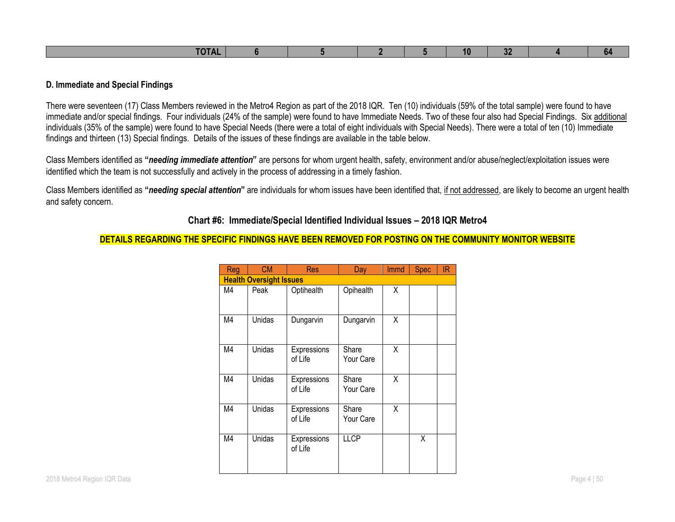| ____<br>-ne |  |  | 10 | $\mathbf{A}$<br>. . | lo⊭ |
|-------------|--|--|----|---------------------|-----|

#### **D. Immediate and Special Findings**

There were seventeen (17) Class Members reviewed in the Metro4 Region as part of the 2018 IQR. Ten (10) individuals (59% of the total sample) were found to have immediate and/or special findings. Four individuals (24% of the sample) were found to have Immediate Needs. Two of these four also had Special Findings. Six additional individuals (35% of the sample) were found to have Special Needs (there were a total of eight individuals with Special Needs). There were a total of ten (10) Immediate findings and thirteen (13) Special findings. Details of the issues of these findings are available in the table below.

Class Members identified as **"***needing immediate attention***"** are persons for whom urgent health, safety, environment and/or abuse/neglect/exploitation issues were identified which the team is not successfully and actively in the process of addressing in a timely fashion.

Class Members identified as **"***needing special attention***"** are individuals for whom issues have been identified that, if not addressed, are likely to become an urgent health and safety concern.

### **Chart #6: Immediate/Special Identified Individual Issues – 2018 IQR Metro4**

#### **DETAILS REGARDING THE SPECIFIC FINDINGS HAVE BEEN REMOVED FOR POSTING ON THE COMMUNITY MONITOR WEBSITE**

| Reg | <b>CM</b>                      | <b>Res</b>             | <b>Day</b>         | <b>Immd</b> | <b>Spec</b> | IR |
|-----|--------------------------------|------------------------|--------------------|-------------|-------------|----|
|     | <b>Health Oversight Issues</b> |                        |                    |             |             |    |
| M4  | Peak                           | Optihealth             | Opihealth          | Χ           |             |    |
| M4  | Unidas                         | Dungarvin              | Dungarvin          | X           |             |    |
| M4  | Unidas                         | Expressions<br>of Life | Share<br>Your Care | X           |             |    |
| M4  | Unidas                         | Expressions<br>of Life | Share<br>Your Care | X           |             |    |
| M4  | Unidas                         | Expressions<br>of Life | Share<br>Your Care | X           |             |    |
| M4  | Unidas                         | Expressions<br>of Life | <b>LLCP</b>        |             | X           |    |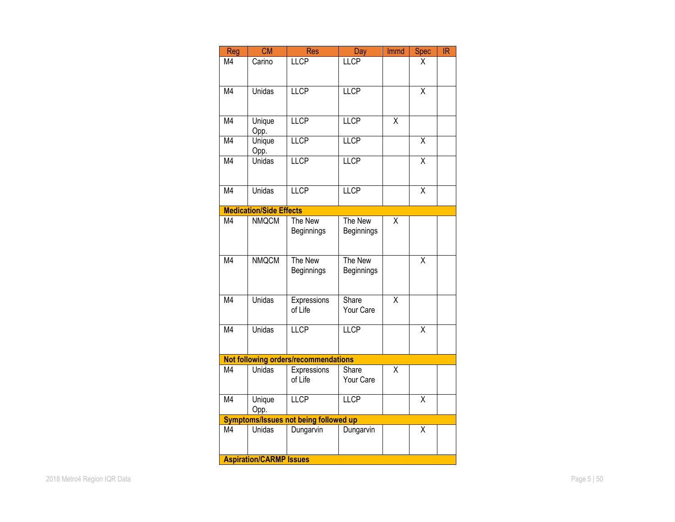| Reg                      | <b>CM</b>                               | <b>Res</b>                                   | Day         | Immd                    | <b>Spec</b>             | IR |
|--------------------------|-----------------------------------------|----------------------------------------------|-------------|-------------------------|-------------------------|----|
| M4                       | Carino                                  | <b>LLCP</b>                                  | LLCP        |                         | χ                       |    |
|                          |                                         |                                              |             |                         |                         |    |
| M4                       | Unidas                                  | <b>LLCP</b>                                  | <b>LLCP</b> |                         | $\overline{\mathsf{x}}$ |    |
|                          |                                         |                                              |             |                         |                         |    |
|                          |                                         |                                              |             |                         |                         |    |
| $\overline{\mathsf{M4}}$ | Unique                                  | <b>LLCP</b>                                  | LLCP        | $\overline{\mathsf{x}}$ |                         |    |
| M4                       | Opp.<br>Unique                          | <b>LLCP</b>                                  | LLCP        |                         | $\overline{\mathsf{x}}$ |    |
|                          | Opp.                                    |                                              |             |                         |                         |    |
| $\overline{\mathsf{M4}}$ | $\overline{\overline{\mathrm{Unidas}}}$ | <b>LLCP</b>                                  | <b>LLCP</b> |                         | $\overline{\mathsf{x}}$ |    |
|                          |                                         |                                              |             |                         |                         |    |
| M4                       | Unidas                                  | <b>LLCP</b>                                  | <b>LLCP</b> |                         | $\overline{\mathsf{x}}$ |    |
|                          |                                         |                                              |             |                         |                         |    |
|                          | <b>Medication/Side Effects</b>          |                                              |             |                         |                         |    |
| M4                       | <b>NMQCM</b>                            | The New                                      | The New     | Χ                       |                         |    |
|                          |                                         | Beginnings                                   | Beginnings  |                         |                         |    |
|                          |                                         |                                              |             |                         |                         |    |
| $\overline{\mathsf{M4}}$ | <b>NMQCM</b>                            | The New                                      | The New     |                         | $\overline{\mathsf{x}}$ |    |
|                          |                                         | Beginnings                                   | Beginnings  |                         |                         |    |
|                          |                                         |                                              |             |                         |                         |    |
| $\overline{\mathsf{M4}}$ | Unidas                                  | Expressions                                  | Share       | $\overline{\mathsf{x}}$ |                         |    |
|                          |                                         | of Life                                      | Your Care   |                         |                         |    |
| M4                       | <b>Unidas</b>                           | <b>LLCP</b>                                  | LLCP        |                         | $\overline{\mathsf{x}}$ |    |
|                          |                                         |                                              |             |                         |                         |    |
|                          |                                         |                                              |             |                         |                         |    |
|                          |                                         | Not following orders/recommendations         |             |                         |                         |    |
| M <sub>4</sub>           | <b>Unidas</b>                           | Expressions                                  | Share       | X                       |                         |    |
|                          |                                         | of Life                                      | Your Care   |                         |                         |    |
| M4                       | <b>Unique</b>                           | LLCP                                         | <b>LLCP</b> |                         | $\overline{\mathsf{x}}$ |    |
|                          | Opp.                                    |                                              |             |                         |                         |    |
|                          |                                         | <b>Symptoms/Issues not being followed up</b> |             |                         |                         |    |
| M4                       | Unidas                                  | Dungarvin                                    | Dungarvin   |                         | Χ                       |    |
|                          |                                         |                                              |             |                         |                         |    |
|                          | <b>Aspiration/CARMP Issues</b>          |                                              |             |                         |                         |    |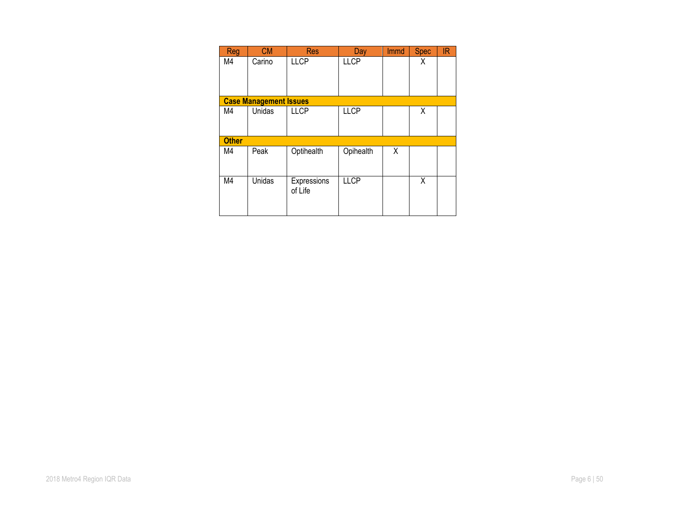| <b>Reg</b>   | <b>CM</b>                     | <b>Res</b>  | Day         | <b>Immd</b> | <b>Spec</b> | IR. |
|--------------|-------------------------------|-------------|-------------|-------------|-------------|-----|
| M4           | Carino                        | <b>LLCP</b> | <b>LLCP</b> |             | χ           |     |
|              |                               |             |             |             |             |     |
|              |                               |             |             |             |             |     |
|              | <b>Case Management Issues</b> |             |             |             |             |     |
| M4           | Unidas                        | <b>LLCP</b> | <b>LLCP</b> |             | χ           |     |
|              |                               |             |             |             |             |     |
|              |                               |             |             |             |             |     |
| <b>Other</b> |                               |             |             |             |             |     |
| M4           | Peak                          | Optihealth  | Opihealth   | X           |             |     |
|              |                               |             |             |             |             |     |
| M4           | Unidas                        | Expressions | <b>LLCP</b> |             | Χ           |     |
|              |                               | of Life     |             |             |             |     |
|              |                               |             |             |             |             |     |
|              |                               |             |             |             |             |     |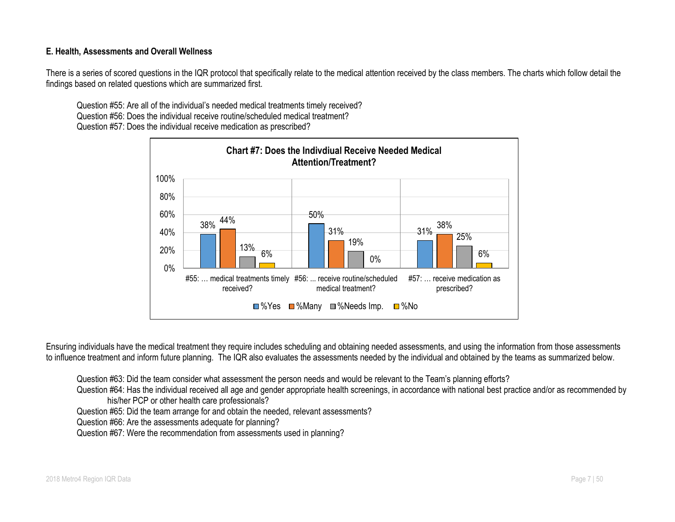### **E. Health, Assessments and Overall Wellness**

There is a series of scored questions in the IQR protocol that specifically relate to the medical attention received by the class members. The charts which follow detail the findings based on related questions which are summarized first.

Question #55: Are all of the individual's needed medical treatments timely received? Question #56: Does the individual receive routine/scheduled medical treatment? Question #57: Does the individual receive medication as prescribed?



Ensuring individuals have the medical treatment they require includes scheduling and obtaining needed assessments, and using the information from those assessments to influence treatment and inform future planning. The IQR also evaluates the assessments needed by the individual and obtained by the teams as summarized below.

Question #63: Did the team consider what assessment the person needs and would be relevant to the Team's planning efforts?

Question #64: Has the individual received all age and gender appropriate health screenings, in accordance with national best practice and/or as recommended by his/her PCP or other health care professionals?

Question #65: Did the team arrange for and obtain the needed, relevant assessments?

Question #66: Are the assessments adequate for planning?

Question #67: Were the recommendation from assessments used in planning?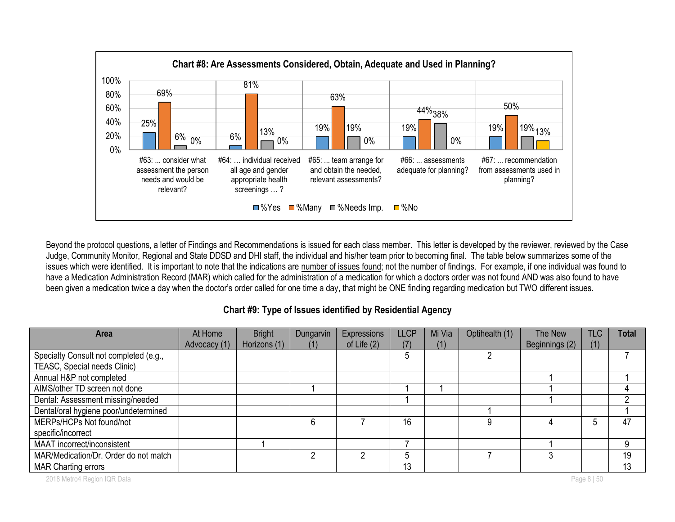

Beyond the protocol questions, a letter of Findings and Recommendations is issued for each class member. This letter is developed by the reviewer, reviewed by the Case Judge, Community Monitor, Regional and State DDSD and DHI staff, the individual and his/her team prior to becoming final. The table below summarizes some of the issues which were identified. It is important to note that the indications are number of issues found; not the number of findings. For example, if one individual was found to have a Medication Administration Record (MAR) which called for the administration of a medication for which a doctors order was not found AND was also found to have been given a medication twice a day when the doctor's order called for one time a day, that might be ONE finding regarding medication but TWO different issues.

**Chart #9: Type of Issues identified by Residential Agency**

| <b>Area</b>                            | At Home      | <b>Bright</b> | Dungarvin | <b>Expressions</b> | LLCP | Mi Via | Optihealth (1) | The New        | <b>TLC</b>  | <b>Total</b> |
|----------------------------------------|--------------|---------------|-----------|--------------------|------|--------|----------------|----------------|-------------|--------------|
|                                        | Advocacy (1) | Horizons (1)  | (1)       | of Life $(2)$      | (7)  | (1)    |                | Beginnings (2) | (1)         |              |
| Specialty Consult not completed (e.g., |              |               |           |                    | 5    |        |                |                |             |              |
| TEASC, Special needs Clinic)           |              |               |           |                    |      |        |                |                |             |              |
| Annual H&P not completed               |              |               |           |                    |      |        |                |                |             |              |
| AIMS/other TD screen not done          |              |               |           |                    |      |        |                |                |             |              |
| Dental: Assessment missing/needed      |              |               |           |                    |      |        |                |                |             |              |
| Dental/oral hygiene poor/undetermined  |              |               |           |                    |      |        |                |                |             |              |
| MERPs/HCPs Not found/not               |              |               | 6         |                    | 16   |        | 9              |                | 5           | 47           |
| specific/incorrect                     |              |               |           |                    |      |        |                |                |             |              |
| MAAT incorrect/inconsistent            |              |               |           |                    |      |        |                |                |             | 9            |
| MAR/Medication/Dr. Order do not match  |              |               |           |                    |      |        |                |                |             | 19           |
| <b>MAR Charting errors</b>             |              |               |           |                    | 13   |        |                |                |             | 13           |
| 2018 Metro4 Region IQR Data            |              |               |           |                    |      |        |                |                | Page 8   50 |              |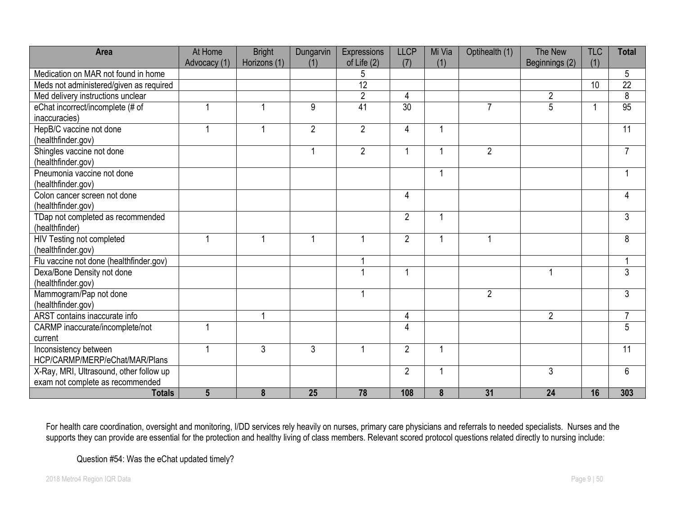| <b>Area</b>                             | At Home        | <b>Bright</b>  | Dungarvin      | Expressions    | <b>LLCP</b>     | Mi Via | Optihealth (1) | The New        | <b>TLC</b> | <b>Total</b>   |
|-----------------------------------------|----------------|----------------|----------------|----------------|-----------------|--------|----------------|----------------|------------|----------------|
|                                         | Advocacy (1)   | Horizons (1)   | (1)            | of Life $(2)$  | (7)             | (1)    |                | Beginnings (2) | (1)        |                |
| Medication on MAR not found in home     |                |                |                | 5              |                 |        |                |                |            | 5              |
| Meds not administered/given as required |                |                |                | 12             |                 |        |                |                | 10         | 22             |
| Med delivery instructions unclear       |                |                |                | $\overline{2}$ | 4               |        |                | $\overline{2}$ |            | 8              |
| eChat incorrect/incomplete (# of        |                | -1             | 9              | 41             | $\overline{30}$ |        | $\overline{7}$ | 5              | -1         | 95             |
| inaccuracies)                           |                |                |                |                |                 |        |                |                |            |                |
| HepB/C vaccine not done                 |                | 1              | $\overline{2}$ | $\overline{2}$ | 4               |        |                |                |            | 11             |
| (healthfinder.gov)                      |                |                |                |                |                 |        |                |                |            |                |
| Shingles vaccine not done               |                |                |                | $\overline{2}$ | 1               |        | $\overline{2}$ |                |            | $\overline{7}$ |
| (healthfinder.gov)                      |                |                |                |                |                 |        |                |                |            |                |
| Pneumonia vaccine not done              |                |                |                |                |                 |        |                |                |            | 1              |
| (healthfinder.gov)                      |                |                |                |                |                 |        |                |                |            |                |
| Colon cancer screen not done            |                |                |                |                | 4               |        |                |                |            | 4              |
| (healthfinder.gov)                      |                |                |                |                |                 |        |                |                |            |                |
| TDap not completed as recommended       |                |                |                |                | $\overline{2}$  |        |                |                |            | 3              |
| (healthfinder)                          |                |                |                |                |                 |        |                |                |            |                |
| HIV Testing not completed               |                | $\overline{1}$ | $\mathbf{1}$   |                | $\overline{2}$  | 1      |                |                |            | 8              |
| (healthfinder.gov)                      |                |                |                |                |                 |        |                |                |            |                |
| Flu vaccine not done (healthfinder.gov) |                |                |                |                |                 |        |                |                |            | 1              |
| Dexa/Bone Density not done              |                |                |                |                | 1               |        |                |                |            | 3              |
| (healthfinder.gov)                      |                |                |                |                |                 |        |                |                |            |                |
| Mammogram/Pap not done                  |                |                |                |                |                 |        | $\overline{2}$ |                |            | 3              |
| (healthfinder.gov)                      |                |                |                |                |                 |        |                |                |            |                |
| ARST contains inaccurate info           |                |                |                |                | 4               |        |                | $\overline{2}$ |            | 7              |
| CARMP inaccurate/incomplete/not         |                |                |                |                | 4               |        |                |                |            | $\overline{5}$ |
| current                                 |                |                |                |                |                 |        |                |                |            |                |
| Inconsistency between                   |                | 3              | 3              |                | $\overline{2}$  |        |                |                |            | 11             |
| HCP/CARMP/MERP/eChat/MAR/Plans          |                |                |                |                |                 |        |                |                |            |                |
| X-Ray, MRI, Ultrasound, other follow up |                |                |                |                | $\overline{2}$  |        |                | 3              |            | 6              |
| exam not complete as recommended        |                |                |                |                |                 |        |                |                |            |                |
| <b>Totals</b>                           | $5\phantom{1}$ | 8              | 25             | 78             | 108             | 8      | 31             | 24             | 16         | 303            |

For health care coordination, oversight and monitoring, I/DD services rely heavily on nurses, primary care physicians and referrals to needed specialists. Nurses and the supports they can provide are essential for the protection and healthy living of class members. Relevant scored protocol questions related directly to nursing include:

Question #54: Was the eChat updated timely?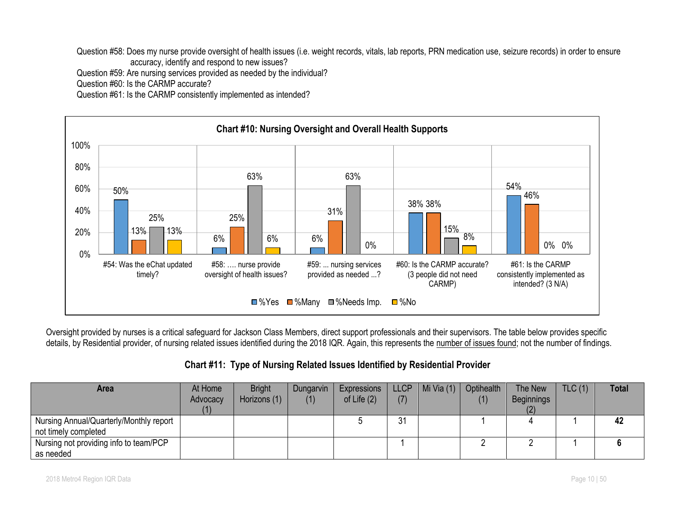Question #58: Does my nurse provide oversight of health issues (i.e. weight records, vitals, lab reports, PRN medication use, seizure records) in order to ensure accuracy, identify and respond to new issues?

Question #59: Are nursing services provided as needed by the individual?

Question #60: Is the CARMP accurate?

Question #61: Is the CARMP consistently implemented as intended?



Oversight provided by nurses is a critical safeguard for Jackson Class Members, direct support professionals and their supervisors. The table below provides specific details, by Residential provider, of nursing related issues identified during the 2018 IQR. Again, this represents the number of issues found; not the number of findings.

| Chart #11: Type of Nursing Related Issues Identified by Residential Provider |  |  |  |
|------------------------------------------------------------------------------|--|--|--|
|------------------------------------------------------------------------------|--|--|--|

| Area                                    | At Home  | <b>Bright</b> | Dungarvin | Expressions   | LLCP <sup>1</sup> | Mi Via $(1)$ | Optihealth | The New           | TLC(1) | <b>Total</b> |
|-----------------------------------------|----------|---------------|-----------|---------------|-------------------|--------------|------------|-------------------|--------|--------------|
|                                         | Advocacy | Horizons (1)  | (1)       | of Life $(2)$ | (7)               |              | (1)        | <b>Beginnings</b> |        |              |
|                                         |          |               |           |               |                   |              |            |                   |        |              |
| Nursing Annual/Quarterly/Monthly report |          |               |           |               | 31                |              |            |                   |        | 42           |
| not timely completed                    |          |               |           |               |                   |              |            |                   |        |              |
| Nursing not providing info to team/PCP  |          |               |           |               |                   |              |            |                   |        |              |
| as needed                               |          |               |           |               |                   |              |            |                   |        |              |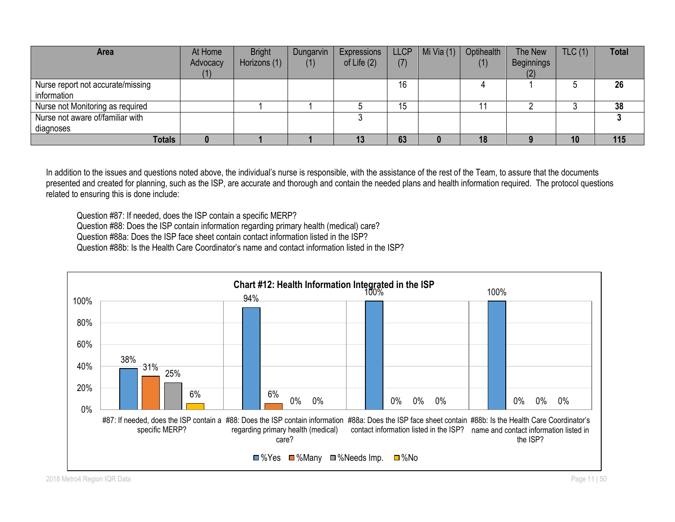| Area                                             | At Home<br>Advocacy | <b>Bright</b><br>Horizons (1) | Dungarvin<br>(1) | Expressions<br>of Life $(2)$ | <b>LLCP</b><br>(7) | Mi Via $(1)$ | Optihealth<br>(1) | The New<br>Beginnings | TLC(1) | <b>Total</b> |
|--------------------------------------------------|---------------------|-------------------------------|------------------|------------------------------|--------------------|--------------|-------------------|-----------------------|--------|--------------|
| Nurse report not accurate/missing<br>information |                     |                               |                  |                              | 16                 |              |                   |                       |        | 26           |
| Nurse not Monitoring as required                 |                     |                               |                  |                              | 15                 |              |                   |                       |        | 38           |
| Nurse not aware of/familiar with                 |                     |                               |                  |                              |                    |              |                   |                       |        |              |
| diagnoses                                        |                     |                               |                  |                              |                    |              |                   |                       |        |              |
| <b>Totals</b>                                    |                     |                               |                  | 13                           | 63                 |              |                   |                       | 10     | 115          |

In addition to the issues and questions noted above, the individual's nurse is responsible, with the assistance of the rest of the Team, to assure that the documents presented and created for planning, such as the ISP, are accurate and thorough and contain the needed plans and health information required. The protocol questions related to ensuring this is done include:

Question #87: If needed, does the ISP contain a specific MERP? Question #88: Does the ISP contain information regarding primary health (medical) care? Question #88a: Does the ISP face sheet contain contact information listed in the ISP? Question #88b: Is the Health Care Coordinator's name and contact information listed in the ISP?

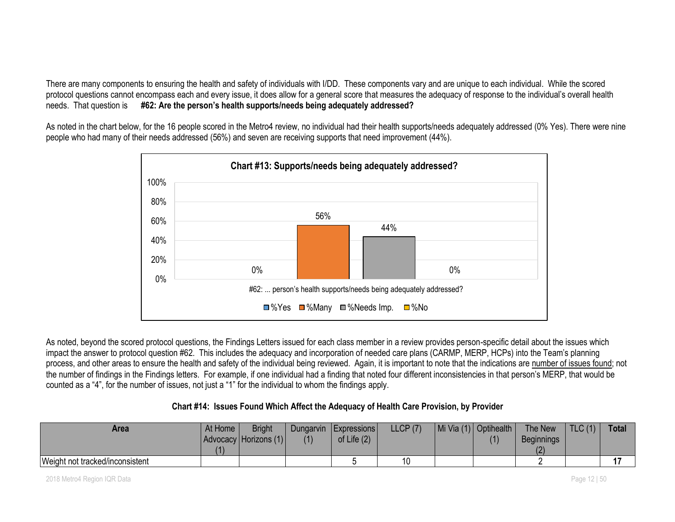There are many components to ensuring the health and safety of individuals with I/DD. These components vary and are unique to each individual. While the scored protocol questions cannot encompass each and every issue, it does allow for a general score that measures the adequacy of response to the individual's overall health needs. That question is **#62: Are the person's health supports/needs being adequately addressed?**

As noted in the chart below, for the 16 people scored in the Metro4 review, no individual had their health supports/needs adequately addressed (0% Yes). There were nine people who had many of their needs addressed (56%) and seven are receiving supports that need improvement (44%).



As noted, beyond the scored protocol questions, the Findings Letters issued for each class member in a review provides person-specific detail about the issues which impact the answer to protocol question #62. This includes the adequacy and incorporation of needed care plans (CARMP, MERP, HCPs) into the Team's planning process, and other areas to ensure the health and safety of the individual being reviewed. Again, it is important to note that the indications are number of issues found; not the number of findings in the Findings letters. For example, if one individual had a finding that noted four different inconsistencies in that person's MERP, that would be counted as a "4", for the number of issues, not just a "1" for the individual to whom the findings apply.

| Chart #14: Issues Found Which Affect the Adequacy of Health Care Provision, by Provider |  |  |  |  |  |  |
|-----------------------------------------------------------------------------------------|--|--|--|--|--|--|
|                                                                                         |  |  |  |  |  |  |

| Area                            | At Home | <b>Bright</b>         | Dungarvin | <b>Expressions</b> | LLCP(7) | Mi Via (1)   Optihealth | The New           | $\mid$ TLC (1) | <b>Total</b> |
|---------------------------------|---------|-----------------------|-----------|--------------------|---------|-------------------------|-------------------|----------------|--------------|
|                                 |         | Advocacy Horizons (1) | (1)       | of Life $(2)$      |         | (1)                     | <b>Beginnings</b> |                |              |
|                                 | (1)     |                       |           |                    |         |                         |                   |                |              |
| Weight not tracked/inconsistent |         |                       |           |                    | 10      |                         |                   |                |              |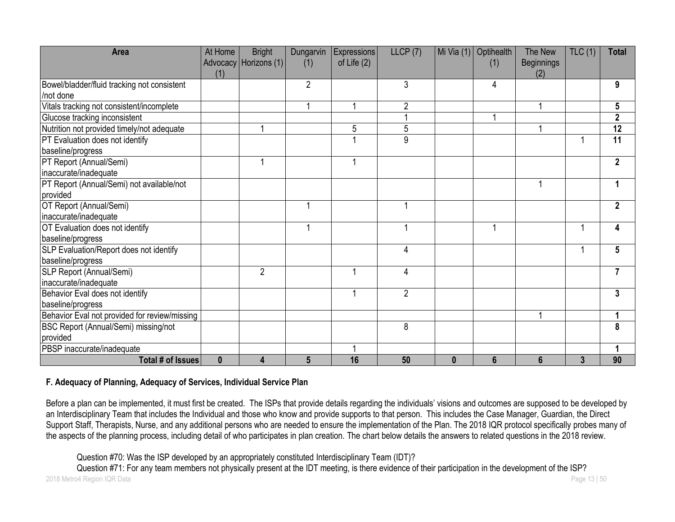| Area                                                         | At Home<br>(1) | <b>Bright</b><br>Advocacy Horizons (1) | Dungarvin<br>(1) | <b>Expressions</b><br>of Life $(2)$ | LLCP(7)        |          | Mi Via (1) Optihealth<br>(1) | The New<br><b>Beginnings</b> | TLC(1)         | <b>Total</b>    |
|--------------------------------------------------------------|----------------|----------------------------------------|------------------|-------------------------------------|----------------|----------|------------------------------|------------------------------|----------------|-----------------|
| Bowel/bladder/fluid tracking not consistent<br>/not done     |                |                                        | $\overline{2}$   |                                     | 3              |          | 4                            |                              |                | 9               |
| Vitals tracking not consistent/incomplete                    |                |                                        |                  |                                     | 2              |          |                              |                              |                | 5               |
| Glucose tracking inconsistent                                |                |                                        |                  |                                     |                |          |                              |                              |                | $\mathbf 2$     |
| Nutrition not provided timely/not adequate                   |                |                                        |                  | 5                                   | 5              |          |                              |                              |                | $\overline{12}$ |
| PT Evaluation does not identify                              |                |                                        |                  |                                     | 9              |          |                              |                              |                | 11              |
| baseline/progress                                            |                |                                        |                  |                                     |                |          |                              |                              |                |                 |
| PT Report (Annual/Semi)<br>inaccurate/inadequate             |                |                                        |                  | 1                                   |                |          |                              |                              |                | $\mathbf{2}$    |
| PT Report (Annual/Semi) not available/not<br>provided        |                |                                        |                  |                                     |                |          |                              |                              |                |                 |
| OT Report (Annual/Semi)<br>inaccurate/inadequate             |                |                                        |                  |                                     |                |          |                              |                              |                | $\mathbf 2$     |
| OT Evaluation does not identify<br>baseline/progress         |                |                                        | 1                |                                     |                |          |                              |                              | 1              | Δ               |
| SLP Evaluation/Report does not identify<br>baseline/progress |                |                                        |                  |                                     | 4              |          |                              |                              | 1              | 5               |
| SLP Report (Annual/Semi)<br>inaccurate/inadequate            |                | $\overline{2}$                         |                  | 1                                   | 4              |          |                              |                              |                | $\overline{7}$  |
| Behavior Eval does not identify<br>baseline/progress         |                |                                        |                  | 1                                   | $\overline{2}$ |          |                              |                              |                | 3               |
| Behavior Eval not provided for review/missing                |                |                                        |                  |                                     |                |          |                              |                              |                |                 |
| BSC Report (Annual/Semi) missing/not<br>provided             |                |                                        |                  |                                     | 8              |          |                              |                              |                | 8               |
| PBSP inaccurate/inadequate                                   |                |                                        |                  |                                     |                |          |                              |                              |                |                 |
| Total # of Issues                                            | $\mathbf{0}$   | 4                                      | $5\phantom{.0}$  | 16                                  | 50             | $\bf{0}$ | 6                            | $6\phantom{1}6$              | $\overline{3}$ | 90              |

### **F. Adequacy of Planning, Adequacy of Services, Individual Service Plan**

Before a plan can be implemented, it must first be created. The ISPs that provide details regarding the individuals' visions and outcomes are supposed to be developed by an Interdisciplinary Team that includes the Individual and those who know and provide supports to that person. This includes the Case Manager, Guardian, the Direct Support Staff, Therapists, Nurse, and any additional persons who are needed to ensure the implementation of the Plan. The 2018 IQR protocol specifically probes many of the aspects of the planning process, including detail of who participates in plan creation. The chart below details the answers to related questions in the 2018 review.

Question #70: Was the ISP developed by an appropriately constituted Interdisciplinary Team (IDT)?

2018 Metro4 Region IQR Data Page 13 | 50 Question #71: For any team members not physically present at the IDT meeting, is there evidence of their participation in the development of the ISP?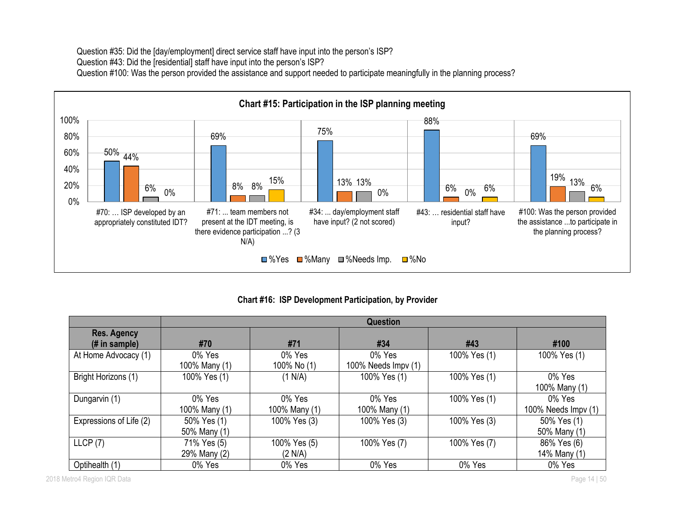Question #35: Did the [day/employment] direct service staff have input into the person's ISP? Question #43: Did the [residential] staff have input into the person's ISP? Question #100: Was the person provided the assistance and support needed to participate meaningfully in the planning process?



**Chart #16: ISP Development Participation, by Provider**

|                                 |               | <b>Question</b> |                     |              |                     |  |  |  |  |  |  |
|---------------------------------|---------------|-----------------|---------------------|--------------|---------------------|--|--|--|--|--|--|
| <b>Res. Agency</b>              |               |                 |                     |              |                     |  |  |  |  |  |  |
| $(H \in \mathbb{R})$ in sample) | #70           | #71             | #34                 | #43          | #100                |  |  |  |  |  |  |
| At Home Advocacy (1)            | 0% Yes        | 0% Yes          | 0% Yes              | 100% Yes (1) | 100% Yes (1)        |  |  |  |  |  |  |
|                                 | 100% Many (1) | 100% No (1)     | 100% Needs Impv (1) |              |                     |  |  |  |  |  |  |
| Bright Horizons (1)             | 100% Yes (1)  | (1 N/A)         | 100% Yes (1)        | 100% Yes (1) | 0% Yes              |  |  |  |  |  |  |
|                                 |               |                 |                     |              | 100% Many (1)       |  |  |  |  |  |  |
| Dungarvin (1)                   | 0% Yes        | 0% Yes          | 0% Yes              | 100% Yes (1) | 0% Yes              |  |  |  |  |  |  |
|                                 | 100% Many (1) | 100% Many (1)   | 100% Many (1)       |              | 100% Needs Impv (1) |  |  |  |  |  |  |
| Expressions of Life (2)         | 50% Yes (1)   | 100% Yes (3)    | 100% Yes (3)        | 100% Yes (3) | 50% Yes (1)         |  |  |  |  |  |  |
|                                 | 50% Many (1)  |                 |                     |              | 50% Many (1)        |  |  |  |  |  |  |
| LLCP(7)                         | 71% Yes (5)   | 100% Yes (5)    | 100% Yes (7)        | 100% Yes (7) | 86% Yes (6)         |  |  |  |  |  |  |
|                                 | 29% Many (2)  | (2 N/A)         |                     |              | 14% Many (1)        |  |  |  |  |  |  |
| Optihealth (1)                  | 0% Yes        | 0% Yes          | 0% Yes              | 0% Yes       | 0% Yes              |  |  |  |  |  |  |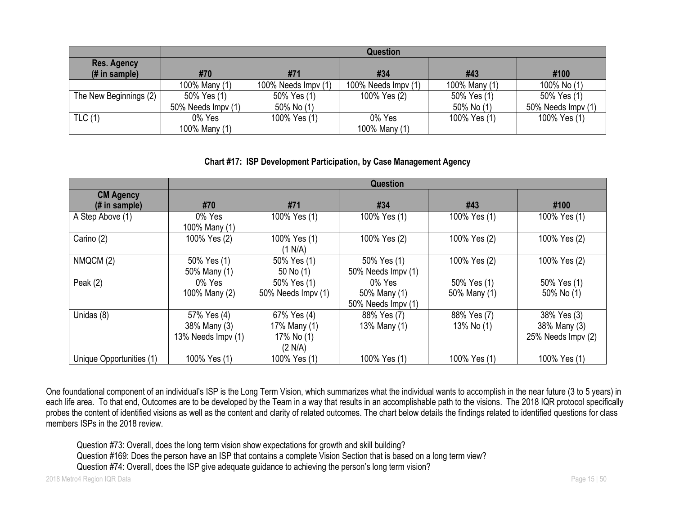|                           | <b>Question</b>    |                     |                     |               |                    |  |  |  |  |  |  |
|---------------------------|--------------------|---------------------|---------------------|---------------|--------------------|--|--|--|--|--|--|
| <b>Res. Agency</b>        |                    |                     |                     |               |                    |  |  |  |  |  |  |
| $(H \in \mathsf{sample})$ | #70                | #71                 | #34                 | #43           | #100               |  |  |  |  |  |  |
|                           | 100% Many (1)      | 100% Needs Impv (1) | 100% Needs Impv (1) | 100% Many (1) | 100% No (1)        |  |  |  |  |  |  |
| The New Beginnings (2)    | 50% Yes (1)        | 50% Yes (1)         | 100% Yes (2)        | 50% Yes (1)   | 50% Yes (1)        |  |  |  |  |  |  |
|                           | 50% Needs Impv (1) | 50% No (1)          |                     | 50% No (1)    | 50% Needs Impv (1) |  |  |  |  |  |  |
| TLC(1)                    | 0% Yes             | 100% Yes (1)        | 0% Yes              | 100% Yes (1)  | 100% Yes (1)       |  |  |  |  |  |  |
|                           | 100% Many (1)      |                     | 100% Many (1)       |               |                    |  |  |  |  |  |  |

#### **Chart #17: ISP Development Participation, by Case Management Agency**

|                                   |                                                   |                                                      | <b>Question</b>                              |                             |                                                   |
|-----------------------------------|---------------------------------------------------|------------------------------------------------------|----------------------------------------------|-----------------------------|---------------------------------------------------|
| <b>CM Agency</b><br>(# in sample) | #70                                               | #71                                                  | #34                                          | #43                         | #100                                              |
| A Step Above (1)                  | 0% Yes<br>100% Many (1)                           | 100% Yes (1)                                         | 100% Yes (1)                                 | 100% Yes (1)                | 100% Yes (1)                                      |
| Carino (2)                        | 100% Yes (2)                                      | 100% Yes (1)<br>(1 N/A)                              | 100% Yes (2)                                 | 100% Yes (2)                | 100% Yes (2)                                      |
| NMQCM (2)                         | 50% Yes (1)<br>50% Many (1)                       | 50% Yes (1)<br>50 No (1)                             | 50% Yes (1)<br>50% Needs Impv (1)            | 100% Yes (2)                | 100% Yes (2)                                      |
| Peak $(2)$                        | 0% Yes<br>100% Many (2)                           | 50% Yes (1)<br>50% Needs Impv (1)                    | 0% Yes<br>50% Many (1)<br>50% Needs Impv (1) | 50% Yes (1)<br>50% Many (1) | 50% Yes (1)<br>50% No (1)                         |
| Unidas (8)                        | 57% Yes (4)<br>38% Many (3)<br>13% Needs Impv (1) | 67% Yes (4)<br>17% Many (1)<br>17% No (1)<br>(2 N/A) | 88% Yes (7)<br>13% Many (1)                  | 88% Yes (7)<br>13% No (1)   | 38% Yes (3)<br>38% Many (3)<br>25% Needs Impv (2) |
| Unique Opportunities (1)          | 100% Yes (1)                                      | 100% Yes (1)                                         | 100% Yes (1)                                 | 100% Yes (1)                | 100% Yes (1)                                      |

One foundational component of an individual's ISP is the Long Term Vision, which summarizes what the individual wants to accomplish in the near future (3 to 5 years) in each life area. To that end, Outcomes are to be developed by the Team in a way that results in an accomplishable path to the visions. The 2018 IQR protocol specifically probes the content of identified visions as well as the content and clarity of related outcomes. The chart below details the findings related to identified questions for class members ISPs in the 2018 review.

Question #73: Overall, does the long term vision show expectations for growth and skill building? Question #169: Does the person have an ISP that contains a complete Vision Section that is based on a long term view?

Question #74: Overall, does the ISP give adequate guidance to achieving the person's long term vision?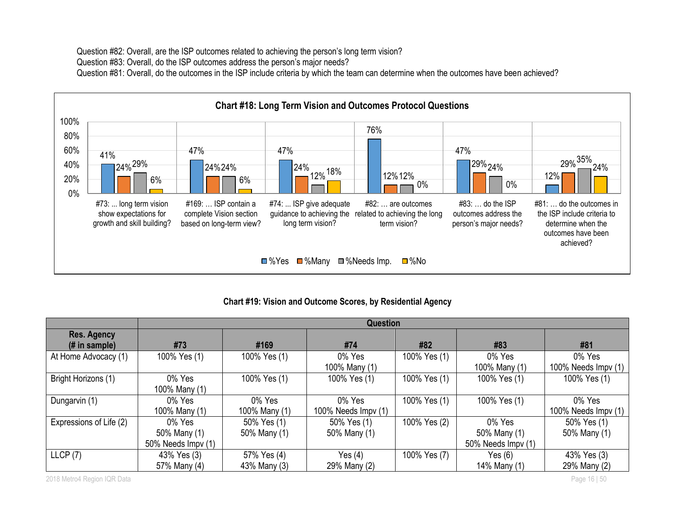Question #82: Overall, are the ISP outcomes related to achieving the person's long term vision? Question #83: Overall, do the ISP outcomes address the person's major needs? Question #81: Overall, do the outcomes in the ISP include criteria by which the team can determine when the outcomes have been achieved?



### **Chart #19: Vision and Outcome Scores, by Residential Agency**

|                                      | Question                |               |                         |              |                         |                               |  |  |  |
|--------------------------------------|-------------------------|---------------|-------------------------|--------------|-------------------------|-------------------------------|--|--|--|
| <b>Res. Agency</b><br>$#$ in sample) | #73                     | #169          | #74                     | #82          | #83                     | #81                           |  |  |  |
| At Home Advocacy (1)                 | 100% Yes (1)            | 100% Yes (1)  | 0% Yes<br>100% Many (1) | 100% Yes (1) | 0% Yes<br>100% Many (1) | 0% Yes<br>100% Needs Impv (1) |  |  |  |
| Bright Horizons (1)                  | 0% Yes<br>100% Many (1) | 100% Yes (1)  | 100% Yes (1)            | 100% Yes (1) | 100% Yes (1)            | 100% Yes (1)                  |  |  |  |
| Dungarvin (1)                        | 0% Yes                  | 0% Yes        | 0% Yes                  | 100% Yes (1) | 100% Yes (1)            | 0% Yes                        |  |  |  |
|                                      | 100% Many (1)           | 100% Many (1) | 100% Needs Impv (1)     |              |                         | 100% Needs Impv (1)           |  |  |  |
| Expressions of Life (2)              | 0% Yes                  | 50% Yes (1)   | 50% Yes (1)             | 100% Yes (2) | 0% Yes                  | 50% Yes (1)                   |  |  |  |
|                                      | 50% Many (1)            | 50% Many (1)  | 50% Many (1)            |              | 50% Many (1)            | 50% Many (1)                  |  |  |  |
|                                      | 50% Needs Impy (1)      |               |                         |              | 50% Needs Impv (1)      |                               |  |  |  |
| LLCP(7)                              | 43% Yes (3)             | 57% Yes (4)   | Yes $(4)$               | 100% Yes (7) | Yes $(6)$               | 43% Yes (3)                   |  |  |  |
|                                      | 57% Many (4)            | 43% Many (3)  | 29% Many (2)            |              | 14% Many (1)            | 29% Many (2)                  |  |  |  |

2018 Metro4 Region IQR Data Page 16 | 50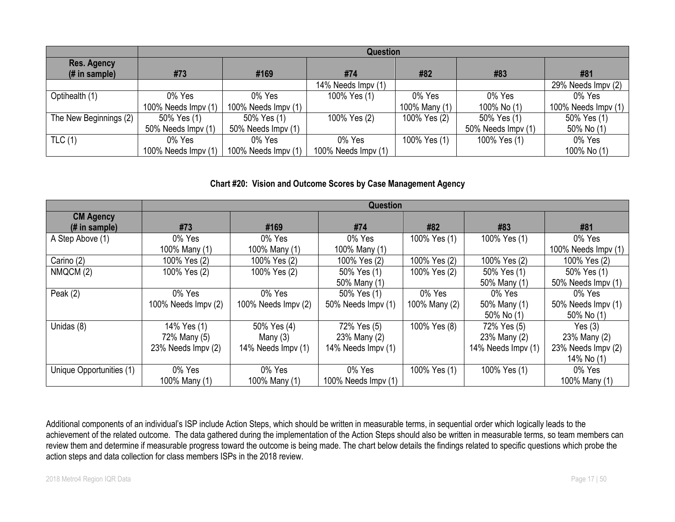|                                      | <b>Question</b>     |                     |                     |               |                    |                     |  |  |  |
|--------------------------------------|---------------------|---------------------|---------------------|---------------|--------------------|---------------------|--|--|--|
| <b>Res. Agency</b><br>$#$ in sample) | #73                 | #169                | #74                 | #82           | #83                | #81                 |  |  |  |
|                                      |                     |                     | 14% Needs Impv (1)  |               |                    | 29% Needs Impv (2)  |  |  |  |
| Optihealth (1)                       | 0% Yes              | 0% Yes              | 100% Yes (1)        | 0% Yes        | 0% Yes             | 0% Yes              |  |  |  |
|                                      | 100% Needs Impv (1) | 100% Needs Impv (1) |                     | 100% Many (1) | 100% No (1)        | 100% Needs Impv (1) |  |  |  |
| The New Beginnings (2)               | 50% Yes (1)         | 50% Yes (1)         | 100% Yes (2)        | 100% Yes (2)  | 50% Yes (1)        | 50% Yes (1)         |  |  |  |
|                                      | 50% Needs Impv (1)  | 50% Needs Impy (1)  |                     |               | 50% Needs Impv (1) | 50% No (1)          |  |  |  |
| TLC(1)                               | 0% Yes              | 0% Yes              | 0% Yes              | 100% Yes (1)  | 100% Yes (1)       | 0% Yes              |  |  |  |
|                                      | 100% Needs Impv (1) | 100% Needs Impv (1) | 100% Needs Impy (1) |               |                    | 100% No (1)         |  |  |  |

#### **Chart #20: Vision and Outcome Scores by Case Management Agency**

|                                    | <b>Question</b>     |                     |                     |               |                    |                     |  |  |  |  |
|------------------------------------|---------------------|---------------------|---------------------|---------------|--------------------|---------------------|--|--|--|--|
| <b>CM Agency</b><br>$#$ in sample) | #73                 | #169                | #74                 | #82           | #83                | #81                 |  |  |  |  |
| A Step Above (1)                   | 0% Yes              | 0% Yes              | 0% Yes              | 100% Yes (1)  | 100% Yes (1)       | 0% Yes              |  |  |  |  |
|                                    | 100% Many (1)       | 100% Many (1)       | 100% Many (1)       |               |                    | 100% Needs Impv (1) |  |  |  |  |
| Carino (2)                         | 100% Yes (2)        | 100% Yes (2)        | 100% Yes (2)        | 100% Yes (2)  | 100% Yes (2)       | 100% Yes (2)        |  |  |  |  |
| NMQCM (2)                          | 100% Yes (2)        | 100% Yes (2)        | 50% Yes (1)         | 100% Yes (2)  | 50% Yes (1)        | 50% Yes (1)         |  |  |  |  |
|                                    |                     |                     | 50% Many (1)        |               | 50% Many (1)       | 50% Needs Impv (1)  |  |  |  |  |
| Peak $(2)$                         | 0% Yes              | 0% Yes              | 50% Yes (1)         | 0% Yes        | 0% Yes             | 0% Yes              |  |  |  |  |
|                                    | 100% Needs Impv (2) | 100% Needs Impv (2) | 50% Needs Impv (1)  | 100% Many (2) | 50% Many (1)       | 50% Needs Impv (1)  |  |  |  |  |
|                                    |                     |                     |                     |               | 50% No (1)         | 50% No (1)          |  |  |  |  |
| Unidas (8)                         | 14% Yes (1)         | 50% Yes (4)         | 72% Yes (5)         | 100% Yes (8)  | 72% Yes (5)        | Yes $(3)$           |  |  |  |  |
|                                    | 72% Many (5)        | Many $(3)$          | 23% Many (2)        |               | 23% Many (2)       | 23% Many (2)        |  |  |  |  |
|                                    | 23% Needs Impv (2)  | 14% Needs Impv (1)  | 14% Needs Impv (1)  |               | 14% Needs Impv (1) | 23% Needs Impv (2)  |  |  |  |  |
|                                    |                     |                     |                     |               |                    | 14% No (1)          |  |  |  |  |
| Unique Opportunities (1)           | 0% Yes              | 0% Yes              | 0% Yes              | 100% Yes (1)  | 100% Yes (1)       | 0% Yes              |  |  |  |  |
|                                    | 100% Many (1)       | 100% Many (1)       | 100% Needs Impv (1) |               |                    | 100% Many (1)       |  |  |  |  |

Additional components of an individual's ISP include Action Steps, which should be written in measurable terms, in sequential order which logically leads to the achievement of the related outcome. The data gathered during the implementation of the Action Steps should also be written in measurable terms, so team members can review them and determine if measurable progress toward the outcome is being made. The chart below details the findings related to specific questions which probe the action steps and data collection for class members ISPs in the 2018 review.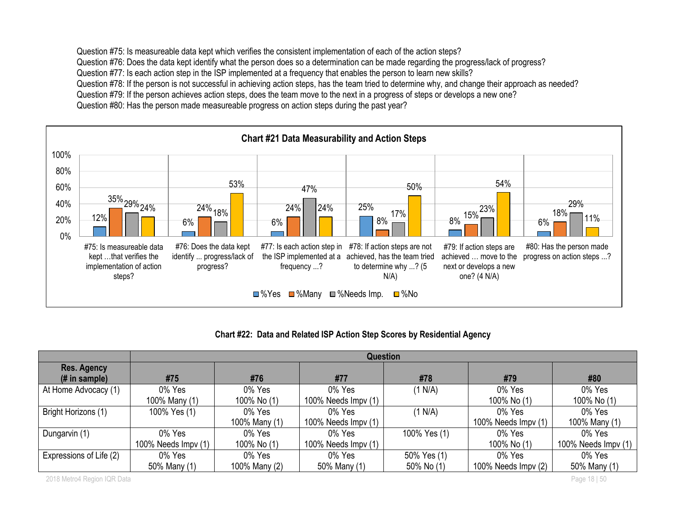Question #75: Is measureable data kept which verifies the consistent implementation of each of the action steps? Question #76: Does the data kept identify what the person does so a determination can be made regarding the progress/lack of progress? Question #77: Is each action step in the ISP implemented at a frequency that enables the person to learn new skills? Question #78: If the person is not successful in achieving action steps, has the team tried to determine why, and change their approach as needed? Question #79: If the person achieves action steps, does the team move to the next in a progress of steps or develops a new one? Question #80: Has the person made measureable progress on action steps during the past year?



|                                                | Question            |               |                             |              |                      |                     |  |  |
|------------------------------------------------|---------------------|---------------|-----------------------------|--------------|----------------------|---------------------|--|--|
| Res. Agency<br>$(H \in \mathbb{R})$ in sample) | #75                 | #76           | #77                         | #78          | #79                  | #80                 |  |  |
| At Home Advocacy (1)                           | 0% Yes              | 0% Yes        | 0% Yes                      | (1 N/A)      | 0% Yes               | 0% Yes              |  |  |
|                                                | 100% Many (1)       | 100% No (1)   | 100% Needs $\text{Impv}(1)$ |              | 100% No (1)          | 100% No (1)         |  |  |
| Bright Horizons (1)                            | 100% Yes (1)        | 0% Yes        | 0% Yes                      | (1 N/A)      | 0% Yes               | 0% Yes              |  |  |
|                                                |                     | 100% Many (1) | 100% Needs $Impv(1)$        |              | 100% Needs Impv (1)  | 100% Many (1)       |  |  |
| Dungarvin (1)                                  | 0% Yes              | 0% Yes        | 0% Yes                      | 100% Yes (1) | 0% Yes               | 0% Yes              |  |  |
|                                                | 100% Needs Impv (1) | 100% No (1)   | 100% Needs $\text{Impv}(1)$ |              | 100% No (1)          | 100% Needs Impv (1) |  |  |
| Expressions of Life (2)                        | 0% Yes              | 0% Yes        | 0% Yes                      | 50% Yes (1)  | 0% Yes               | 0% Yes              |  |  |
|                                                | 50% Many (1)        | 100% Many (2) | 50% Many (1)                | 50% No (1)   | 100% Needs $Impv(2)$ | 50% Many (1)        |  |  |

2018 Metro4 Region IQR Data Page 18 | 50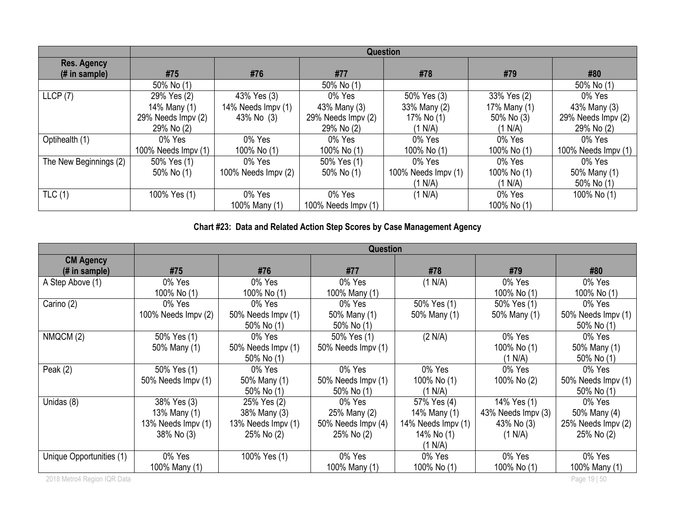|                                     | Question            |                     |                     |                     |              |                     |  |  |
|-------------------------------------|---------------------|---------------------|---------------------|---------------------|--------------|---------------------|--|--|
| <b>Res. Agency</b><br>(# in sample) | #75                 | #76                 | #77                 | #78                 | #79          | #80                 |  |  |
|                                     | 50% No (1)          |                     | 50% No (1)          |                     |              | 50% No (1)          |  |  |
| LLCP(7)                             | 29% Yes (2)         | 43% Yes (3)         | 0% Yes              | 50% Yes (3)         | 33% Yes (2)  | 0% Yes              |  |  |
|                                     | 14% Many (1)        | 14% Needs Impv (1)  | 43% Many (3)        | 33% Many (2)        | 17% Many (1) | 43% Many (3)        |  |  |
|                                     | 29% Needs Impv (2)  | 43% No (3)          | 29% Needs Impv (2)  | 17% No (1)          | 50% No (3)   | 29% Needs Impv (2)  |  |  |
|                                     | 29% No (2)          |                     | 29% No (2)          | (1 N/A)             | (1 N/A)      | 29% No (2)          |  |  |
| Optihealth (1)                      | 0% Yes              | 0% Yes              | 0% Yes              | 0% Yes              | 0% Yes       | 0% Yes              |  |  |
|                                     | 100% Needs Impv (1) | 100% No (1)         | 100% No (1)         | 100% No (1)         | 100% No (1)  | 100% Needs Impv (1) |  |  |
| The New Beginnings (2)              | 50% Yes (1)         | 0% Yes              | 50% Yes (1)         | 0% Yes              | 0% Yes       | 0% Yes              |  |  |
|                                     | 50% No (1)          | 100% Needs Impv (2) | 50% No (1)          | 100% Needs Impv (1) | 100% No (1)  | 50% Many (1)        |  |  |
|                                     |                     |                     |                     | (1 N/A)             | (1 N/A)      | 50% No (1)          |  |  |
| TLC(1)                              | 100% Yes (1)        | 0% Yes              | 0% Yes              | (1 N/A)             | 0% Yes       | 100% No (1)         |  |  |
|                                     |                     | 100% Many (1)       | 100% Needs Impv (1) |                     | 100% No (1)  |                     |  |  |

# **Chart #23: Data and Related Action Step Scores by Case Management Agency**

|                                                     | <b>Question</b>     |                    |                    |                    |                    |                    |  |  |
|-----------------------------------------------------|---------------------|--------------------|--------------------|--------------------|--------------------|--------------------|--|--|
| <b>CM Agency</b><br>$(H \in \mathbb{R})$ in sample) | #75                 | #76                | #77                | #78                | #79                | #80                |  |  |
| A Step Above (1)                                    | 0% Yes              | 0% Yes             | 0% Yes             | (1 N/A)            | 0% Yes             | 0% Yes             |  |  |
|                                                     | 100% No (1)         | 100% No (1)        | 100% Many (1)      |                    | 100% No (1)        | 100% No (1)        |  |  |
| Carino (2)                                          | 0% Yes              | 0% Yes             | 0% Yes             | 50% Yes (1)        | 50% Yes (1)        | 0% Yes             |  |  |
|                                                     | 100% Needs Impv (2) | 50% Needs Impv (1) | 50% Many (1)       | 50% Many (1)       | 50% Many (1)       | 50% Needs Impv (1) |  |  |
|                                                     |                     | 50% No (1)         | 50% No (1)         |                    |                    | 50% No (1)         |  |  |
| NMQCM (2)                                           | 50% Yes (1)         | 0% Yes             | 50% Yes (1)        | (2 N/A)            | 0% Yes             | 0% Yes             |  |  |
|                                                     | 50% Many (1)        | 50% Needs Impv (1) | 50% Needs Impv (1) |                    | 100% No (1)        | 50% Many (1)       |  |  |
|                                                     |                     | 50% No (1)         |                    |                    | (1 N/A)            | 50% No (1)         |  |  |
| Peak $(2)$                                          | 50% Yes (1)         | 0% Yes             | 0% Yes             | 0% Yes             | 0% Yes             | 0% Yes             |  |  |
|                                                     | 50% Needs Impv (1)  | 50% Many (1)       | 50% Needs Impv (1) | 100% No (1)        | 100% No (2)        | 50% Needs Impv (1) |  |  |
|                                                     |                     | 50% No (1)         | 50% No (1)         | (1 N/A)            |                    | 50% No (1)         |  |  |
| Unidas (8)                                          | 38% Yes (3)         | 25% Yes (2)        | 0% Yes             | 57% Yes (4)        | 14% Yes (1)        | 0% Yes             |  |  |
|                                                     | 13% Many (1)        | 38% Many (3)       | 25% Many (2)       | 14% Many (1)       | 43% Needs Impv (3) | 50% Many (4)       |  |  |
|                                                     | 13% Needs Impv (1)  | 13% Needs Impv (1) | 50% Needs Impv (4) | 14% Needs Impv (1) | 43% No (3)         | 25% Needs Impv (2) |  |  |
|                                                     | 38% No (3)          | 25% No (2)         | 25% No (2)         | 14% No (1)         | (1 N/A)            | 25% No (2)         |  |  |
|                                                     |                     |                    |                    | (1 N/A)            |                    |                    |  |  |
| Unique Opportunities (1)                            | 0% Yes              | 100% Yes (1)       | 0% Yes             | 0% Yes             | 0% Yes             | 0% Yes             |  |  |
|                                                     | 100% Many (1)       |                    | 100% Many (1)      | 100% No (1)        | 100% No (1)        | 100% Many (1)      |  |  |
| 2018 Metro4 Region IQR Data                         |                     |                    |                    |                    |                    | Page 19   50       |  |  |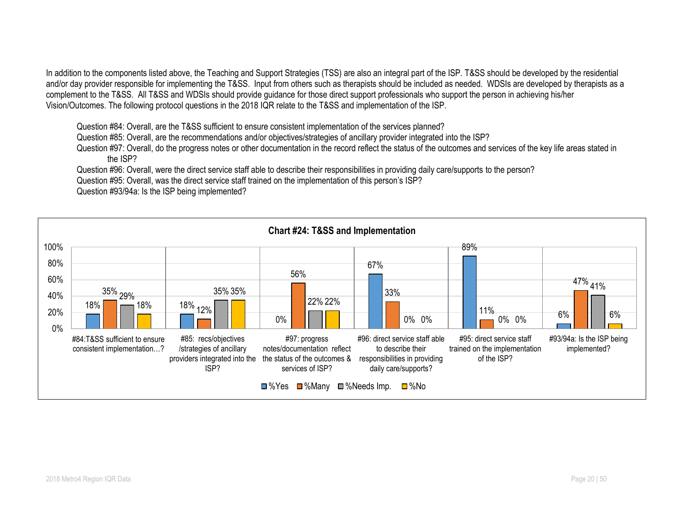In addition to the components listed above, the Teaching and Support Strategies (TSS) are also an integral part of the ISP. T&SS should be developed by the residential and/or day provider responsible for implementing the T&SS. Input from others such as therapists should be included as needed. WDSIs are developed by therapists as a complement to the T&SS. All T&SS and WDSIs should provide guidance for those direct support professionals who support the person in achieving his/her Vision/Outcomes. The following protocol questions in the 2018 IQR relate to the T&SS and implementation of the ISP.

Question #84: Overall, are the T&SS sufficient to ensure consistent implementation of the services planned?

Question #85: Overall, are the recommendations and/or objectives/strategies of ancillary provider integrated into the ISP?

Question #97: Overall, do the progress notes or other documentation in the record reflect the status of the outcomes and services of the key life areas stated in the ISP?

Question #96: Overall, were the direct service staff able to describe their responsibilities in providing daily care/supports to the person?

Question #95: Overall, was the direct service staff trained on the implementation of this person's ISP?

Question #93/94a: Is the ISP being implemented?

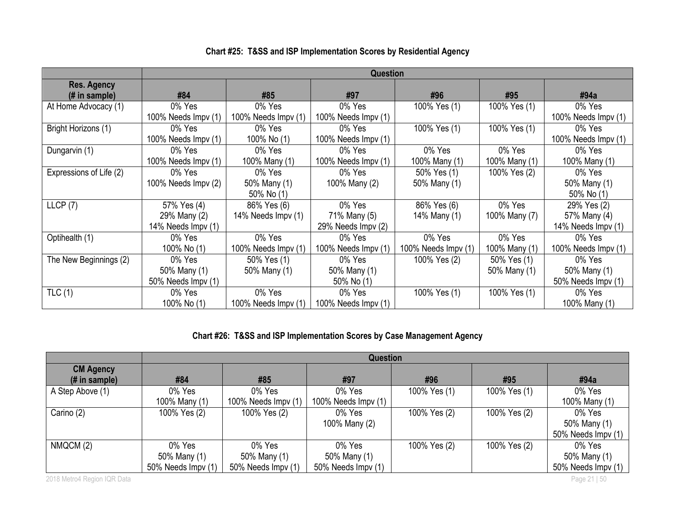|                         |                      |                     | <b>Question</b>     |                     |               |                             |
|-------------------------|----------------------|---------------------|---------------------|---------------------|---------------|-----------------------------|
| <b>Res. Agency</b>      |                      |                     |                     |                     |               |                             |
| (# in sample)           | #84                  | #85                 | #97                 | #96                 | #95           | #94a                        |
| At Home Advocacy (1)    | 0% Yes               | 0% Yes              | 0% Yes              | 100% Yes (1)        | 100% Yes (1)  | 0% Yes                      |
|                         | 100% Needs $Impv(1)$ | 100% Needs Impv (1) | 100% Needs Impv (1) |                     |               | 100% Needs Impv (1)         |
| Bright Horizons (1)     | 0% Yes               | 0% Yes              | 0% Yes              | 100% Yes (1)        | 100% Yes (1)  | 0% Yes                      |
|                         | 100% Needs $Impv(1)$ | 100% No (1)         | 100% Needs Impv (1) |                     |               | 100% Needs $Impv(1)$        |
| Dungarvin (1)           | 0% Yes               | 0% Yes              | 0% Yes              | 0% Yes              | 0% Yes        | 0% Yes                      |
|                         | 100% Needs $Impv(1)$ | 100% Many (1)       | 100% Needs Impv (1) | 100% Many (1)       | 100% Many (1) | 100% Many (1)               |
| Expressions of Life (2) | 0% Yes               | 0% Yes              | 0% Yes              | 50% Yes (1)         | 100% Yes (2)  | 0% Yes                      |
|                         | 100% Needs Impv (2)  | 50% Many (1)        | 100% Many (2)       | 50% Many (1)        |               | 50% Many (1)                |
|                         |                      | 50% No (1)          |                     |                     |               | 50% No (1)                  |
| LLCP(7)                 | 57% Yes (4)          | 86% Yes (6)         | 0% Yes              | 86% Yes (6)         | 0% Yes        | 29% Yes (2)                 |
|                         | 29% Many (2)         | 14% Needs Impv (1)  | 71% Many (5)        | 14% Many (1)        | 100% Many (7) | 57% Many (4)                |
|                         | 14% Needs Impv (1)   |                     | 29% Needs Impv (2)  |                     |               | 14% Needs Impv (1)          |
| Optihealth (1)          | 0% Yes               | 0% Yes              | 0% Yes              | 0% Yes              | 0% Yes        | 0% Yes                      |
|                         | 100% No (1)          | 100% Needs Impv (1) | 100% Needs Impv (1) | 100% Needs Impv (1) | 100% Many (1) | 100% Needs $\text{Impv}(1)$ |
| The New Beginnings (2)  | 0% Yes               | 50% Yes (1)         | 0% Yes              | 100% Yes (2)        | 50% Yes (1)   | 0% Yes                      |
|                         | 50% Many (1)         | 50% Many (1)        | 50% Many (1)        |                     | 50% Many (1)  | 50% Many (1)                |
|                         | 50% Needs Impv (1)   |                     | 50% No (1)          |                     |               | 50% Needs Impy (1)          |
| TLC(1)                  | 0% Yes               | 0% Yes              | 0% Yes              | 100% Yes (1)        | 100% Yes (1)  | 0% Yes                      |
|                         | 100% No (1)          | 100% Needs Impv (1) | 100% Needs Impv (1) |                     |               | 100% Many (1)               |

# **Chart #25: T&SS and ISP Implementation Scores by Residential Agency**

# **Chart #26: T&SS and ISP Implementation Scores by Case Management Agency**

|                                   | Question           |                     |                     |              |              |                    |  |  |
|-----------------------------------|--------------------|---------------------|---------------------|--------------|--------------|--------------------|--|--|
| <b>CM Agency</b><br>(# in sample) | #84                | #85                 | #97                 | #96          | #95          | #94a               |  |  |
| A Step Above (1)                  | 0% Yes             | 0% Yes              | 0% Yes              | 100% Yes (1) | 100% Yes (1) | 0% Yes             |  |  |
|                                   | 100% Many (1)      | 100% Needs Impv (1) | 100% Needs Impv (1) |              |              | 100% Many (1)      |  |  |
| Carino (2)                        | 100% Yes (2)       | 100% Yes (2)        | 0% Yes              | 100% Yes (2) | 100% Yes (2) | 0% Yes             |  |  |
|                                   |                    |                     | 100% Many (2)       |              |              | 50% Many (1)       |  |  |
|                                   |                    |                     |                     |              |              | 50% Needs Impv (1) |  |  |
| NMQCM (2)                         | 0% Yes             | 0% Yes              | 0% Yes              | 100% Yes (2) | 100% Yes (2) | 0% Yes             |  |  |
|                                   | 50% Many (1)       | 50% Many (1)        | 50% Many (1)        |              |              | 50% Many (1)       |  |  |
|                                   | 50% Needs Impv (1) | 50% Needs Impv (1)  | 50% Needs Impv (1)  |              |              | 50% Needs Impv (1) |  |  |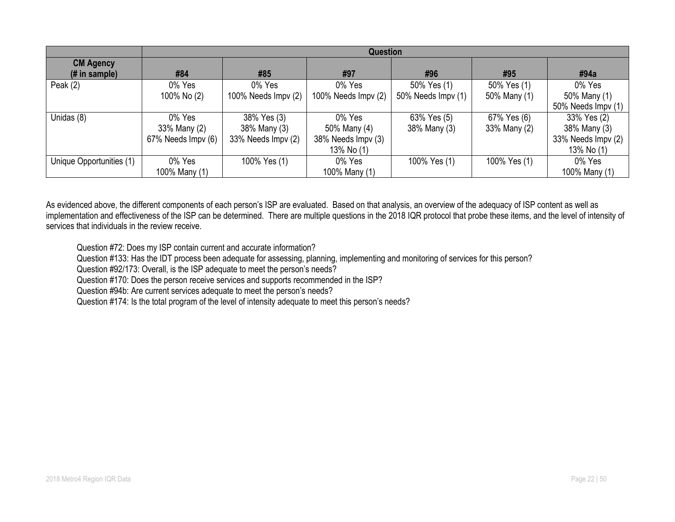|                                               | <b>Question</b>    |                     |                     |                    |              |                    |  |  |
|-----------------------------------------------|--------------------|---------------------|---------------------|--------------------|--------------|--------------------|--|--|
| <b>CM Agency</b><br>$(H \in \mathsf{sample})$ | #84                | #85                 | #97                 | #96                | #95          | #94a               |  |  |
| Peak $(2)$                                    | 0% Yes             | 0% Yes              | 0% Yes              | 50% Yes (1)        | 50% Yes (1)  | 0% Yes             |  |  |
|                                               | 100% No (2)        | 100% Needs Impv (2) | 100% Needs Impv (2) | 50% Needs Impv (1) | 50% Many (1) | 50% Many (1)       |  |  |
|                                               |                    |                     |                     |                    |              | 50% Needs Impv (1) |  |  |
| Unidas (8)                                    | 0% Yes             | 38% Yes (3)         | 0% Yes              | 63% Yes (5)        | 67% Yes (6)  | 33% Yes (2)        |  |  |
|                                               | 33% Many (2)       | 38% Many (3)        | 50% Many (4)        | 38% Many (3)       | 33% Many (2) | 38% Many (3)       |  |  |
|                                               | 67% Needs Impv (6) | 33% Needs Impv (2)  | 38% Needs Impv (3)  |                    |              | 33% Needs Impv (2) |  |  |
|                                               |                    |                     | 13% No (1)          |                    |              | 13% No (1)         |  |  |
| Unique Opportunities (1)                      | 0% Yes             | 100% Yes (1)        | 0% Yes              | 100% Yes (1)       | 100% Yes (1) | 0% Yes             |  |  |
|                                               | 100% Many (1)      |                     | 100% Many (1)       |                    |              | 100% Many (1)      |  |  |

As evidenced above, the different components of each person's ISP are evaluated. Based on that analysis, an overview of the adequacy of ISP content as well as implementation and effectiveness of the ISP can be determined. There are multiple questions in the 2018 IQR protocol that probe these items, and the level of intensity of services that individuals in the review receive.

Question #72: Does my ISP contain current and accurate information?

Question #133: Has the IDT process been adequate for assessing, planning, implementing and monitoring of services for this person?

Question #92/173: Overall, is the ISP adequate to meet the person's needs?

Question #170: Does the person receive services and supports recommended in the ISP?

Question #94b: Are current services adequate to meet the person's needs?

Question #174: Is the total program of the level of intensity adequate to meet this person's needs?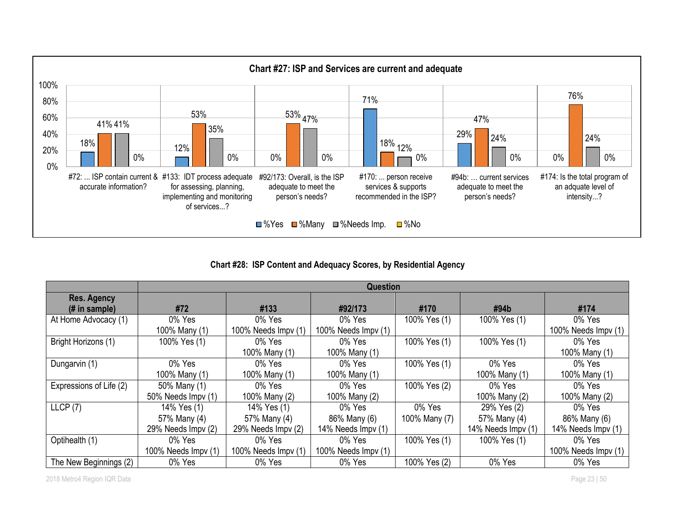

**Chart #28: ISP Content and Adequacy Scores, by Residential Agency**

|                                 | <b>Question</b>     |                     |                     |               |                    |                     |  |  |  |
|---------------------------------|---------------------|---------------------|---------------------|---------------|--------------------|---------------------|--|--|--|
| Res. Agency                     |                     |                     |                     |               |                    |                     |  |  |  |
| $(H \in \mathbb{R})$ in sample) | #72                 | #133                | #92/173             | #170          | $\#94b$            | #174                |  |  |  |
| At Home Advocacy (1)            | 0% Yes              | 0% Yes              | 0% Yes              | 100% Yes (1)  | 100% Yes (1)       | 0% Yes              |  |  |  |
|                                 | 100% Many (1)       | 100% Needs Impv (1) | 100% Needs Impv (1) |               |                    | 100% Needs Impv (1) |  |  |  |
| Bright Horizons (1)             | 100% Yes (1)        | 0% Yes              | 0% Yes              | 100% Yes (1)  | 100% Yes (1)       | 0% Yes              |  |  |  |
|                                 |                     | 100% Many (1)       | 100% Many (1)       |               |                    | 100% Many (1)       |  |  |  |
| Dungarvin (1)                   | 0% Yes              | 0% Yes              | 0% Yes              | 100% Yes (1)  | 0% Yes             | 0% Yes              |  |  |  |
|                                 | 100% Many (1)       | 100% Many (1)       | 100% Many (1)       |               | 100% Many (1)      | 100% Many (1)       |  |  |  |
| Expressions of Life (2)         | 50% Many (1)        | 0% Yes              | 0% Yes              | 100% Yes (2)  | 0% Yes             | 0% Yes              |  |  |  |
|                                 | 50% Needs Impv (1)  | 100% Many (2)       | 100% Many (2)       |               | 100% Many (2)      | 100% Many (2)       |  |  |  |
| LLCP(7)                         | 14% Yes (1)         | 14% Yes (1)         | 0% Yes              | 0% Yes        | 29% Yes (2)        | 0% Yes              |  |  |  |
|                                 | 57% Many (4)        | 57% Many (4)        | 86% Many (6)        | 100% Many (7) | 57% Many (4)       | 86% Many (6)        |  |  |  |
|                                 | 29% Needs Impv (2)  | 29% Needs Impv (2)  | 14% Needs Impv (1)  |               | 14% Needs Impv (1) | 14% Needs Impv (1)  |  |  |  |
| Optihealth (1)                  | 0% Yes              | 0% Yes              | 0% Yes              | 100% Yes (1)  | 100% Yes (1)       | 0% Yes              |  |  |  |
|                                 | 100% Needs Impv (1) | 100% Needs Impv (1) | 100% Needs Impv (1) |               |                    | 100% Needs Impv (1) |  |  |  |
| The New Beginnings (2)          | 0% Yes              | 0% Yes              | 0% Yes              | 100% Yes (2)  | 0% Yes             | 0% Yes              |  |  |  |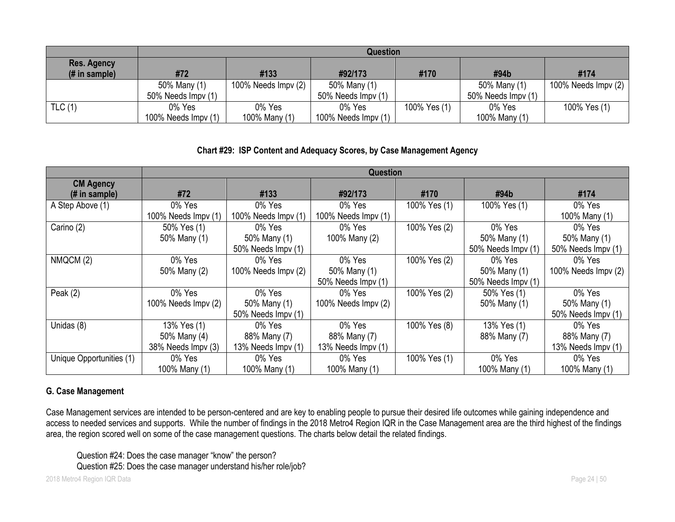|                                      |                             | <b>Question</b>     |                      |              |                    |                     |  |  |  |  |
|--------------------------------------|-----------------------------|---------------------|----------------------|--------------|--------------------|---------------------|--|--|--|--|
| <b>Res. Agency</b><br>$#$ in sample) | #72                         | #133                | #92/173              | #170         | #94b               | #174                |  |  |  |  |
|                                      | 50% Many (1)                | 100% Needs Impv (2) | 50% Many (1)         |              | 50% Many (1)       | 100% Needs Impv (2) |  |  |  |  |
|                                      | 50% Needs Impy (1)          |                     | 50% Needs Impv (1)   |              | 50% Needs Impv (1) |                     |  |  |  |  |
| TLC(1)                               | 0% Yes                      | 0% Yes              | 0% Yes               | 100% Yes (1) | 0% Yes             | 100% Yes (1)        |  |  |  |  |
|                                      | 100% Needs $\text{Impv}(1)$ | 100% Many (1)       | 100% Needs $Impv(1)$ |              | 100% Many (1)      |                     |  |  |  |  |

## **Chart #29: ISP Content and Adequacy Scores, by Case Management Agency**

|                                   |                     | <b>Question</b>     |                     |              |                    |                     |  |  |  |
|-----------------------------------|---------------------|---------------------|---------------------|--------------|--------------------|---------------------|--|--|--|
| <b>CM Agency</b><br>(# in sample) | #72                 | #133                | #92/173             | #170         | #94b               | #174                |  |  |  |
| A Step Above (1)                  | 0% Yes              | 0% Yes              | 0% Yes              | 100% Yes (1) | 100% Yes (1)       | 0% Yes              |  |  |  |
|                                   | 100% Needs Impv (1) | 100% Needs Impv (1) | 100% Needs Impv (1) |              |                    | 100% Many (1)       |  |  |  |
| Carino (2)                        | 50% Yes (1)         | 0% Yes              | 0% Yes              | 100% Yes (2) | 0% Yes             | 0% Yes              |  |  |  |
|                                   | 50% Many (1)        | 50% Many (1)        | 100% Many (2)       |              | 50% Many (1)       | 50% Many (1)        |  |  |  |
|                                   |                     | 50% Needs Impv (1)  |                     |              | 50% Needs Impv (1) | 50% Needs Impv (1)  |  |  |  |
| NMQCM (2)                         | 0% Yes              | 0% Yes              | 0% Yes              | 100% Yes (2) | 0% Yes             | 0% Yes              |  |  |  |
|                                   | 50% Many (2)        | 100% Needs Impv (2) | 50% Many (1)        |              | 50% Many (1)       | 100% Needs Impv (2) |  |  |  |
|                                   |                     |                     | 50% Needs Impv (1)  |              | 50% Needs Impv (1) |                     |  |  |  |
| Peak $(2)$                        | 0% Yes              | 0% Yes              | 0% Yes              | 100% Yes (2) | 50% Yes (1)        | 0% Yes              |  |  |  |
|                                   | 100% Needs Impv (2) | 50% Many (1)        | 100% Needs Impv (2) |              | 50% Many (1)       | 50% Many (1)        |  |  |  |
|                                   |                     | 50% Needs Impv (1)  |                     |              |                    | 50% Needs Impv (1)  |  |  |  |
| Unidas (8)                        | 13% Yes (1)         | 0% Yes              | 0% Yes              | 100% Yes (8) | 13% Yes (1)        | 0% Yes              |  |  |  |
|                                   | 50% Many (4)        | 88% Many (7)        | 88% Many (7)        |              | 88% Many (7)       | 88% Many (7)        |  |  |  |
|                                   | 38% Needs Impv (3)  | 13% Needs Impv (1)  | 13% Needs Impv (1)  |              |                    | 13% Needs Impv (1)  |  |  |  |
| Unique Opportunities (1)          | 0% Yes              | 0% Yes              | 0% Yes              | 100% Yes (1) | 0% Yes             | 0% Yes              |  |  |  |
|                                   | 100% Many (1)       | 100% Many (1)       | 100% Many (1)       |              | 100% Many (1)      | 100% Many (1)       |  |  |  |

# **G. Case Management**

Case Management services are intended to be person-centered and are key to enabling people to pursue their desired life outcomes while gaining independence and access to needed services and supports. While the number of findings in the 2018 Metro4 Region IQR in the Case Management area are the third highest of the findings area, the region scored well on some of the case management questions. The charts below detail the related findings.

Question #24: Does the case manager "know" the person?

Question #25: Does the case manager understand his/her role/job?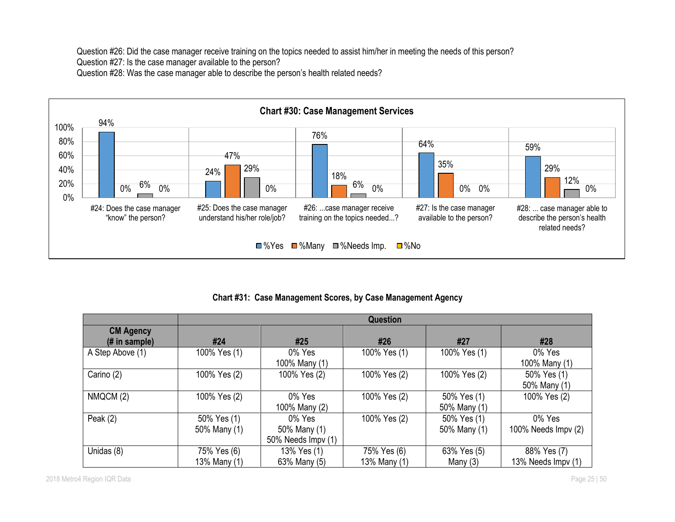Question #26: Did the case manager receive training on the topics needed to assist him/her in meeting the needs of this person?

Question #27: Is the case manager available to the person?

Question #28: Was the case manager able to describe the person's health related needs?



# **Chart #31: Case Management Scores, by Case Management Agency**

|                                    |                             | <b>Question</b>                                 |                             |                             |                                   |  |  |  |  |
|------------------------------------|-----------------------------|-------------------------------------------------|-----------------------------|-----------------------------|-----------------------------------|--|--|--|--|
| <b>CM Agency</b><br>$#$ in sample) | #24                         | #25                                             | #26                         | #27                         | #28                               |  |  |  |  |
| A Step Above (1)                   | 100% Yes (1)                | 0% Yes<br>100% Many (1)                         | 100% Yes (1)                | 100% Yes (1)                | 0% Yes<br>100% Many (1)           |  |  |  |  |
| Carino (2)                         | 100% Yes (2)                | 100% Yes (2)                                    | 100% Yes (2)                | 100% Yes (2)                | 50% Yes (1)<br>50% Many (1)       |  |  |  |  |
| NMQCM (2)                          | 100% Yes (2)                | 0% Yes<br>100% Many (2)                         | 100% Yes (2)                | 50% Yes (1)<br>50% Many (1) | 100% Yes (2)                      |  |  |  |  |
| Peak $(2)$                         | 50% Yes (1)<br>50% Many (1) | $0\%$ Yes<br>50% Many (1)<br>50% Needs Impv (1) | 100% Yes (2)                | 50% Yes (1)<br>50% Many (1) | 0% Yes<br>100% Needs Impv (2)     |  |  |  |  |
| Unidas (8)                         | 75% Yes (6)<br>13% Many (1) | 13% Yes (1)<br>63% Many (5)                     | 75% Yes (6)<br>13% Many (1) | 63% Yes (5)<br>Many $(3)$   | 88% Yes (7)<br>13% Needs Impv (1) |  |  |  |  |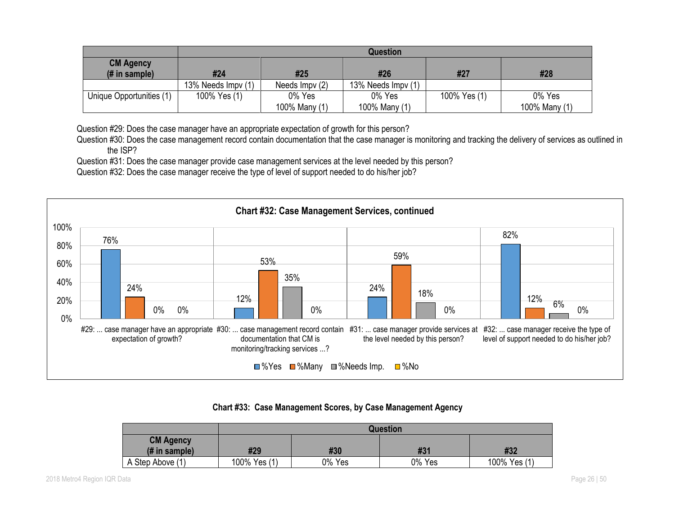|                                                     | <b>Question</b>    |                          |                         |              |                         |  |  |  |
|-----------------------------------------------------|--------------------|--------------------------|-------------------------|--------------|-------------------------|--|--|--|
| <b>CM Agency</b><br>$(H \in \mathbb{R})$ in sample) | #24                | #25<br>#26<br>#28<br>#27 |                         |              |                         |  |  |  |
|                                                     | 13% Needs Impv (1) | Needs Impv (2)           | 13% Needs Impy (1)      |              |                         |  |  |  |
| Unique Opportunities (1)                            | 100% Yes (1)       | 0% Yes<br>100% Many (1)  | 0% Yes<br>100% Many (1) | 100% Yes (1) | 0% Yes<br>100% Many (1) |  |  |  |

Question #29: Does the case manager have an appropriate expectation of growth for this person?

Question #30: Does the case management record contain documentation that the case manager is monitoring and tracking the delivery of services as outlined in the ISP?

Question #31: Does the case manager provide case management services at the level needed by this person?

Question #32: Does the case manager receive the type of level of support needed to do his/her job?



### **Chart #33: Case Management Scores, by Case Management Agency**

|                                 | Question     |        |        |              |  |  |  |  |  |
|---------------------------------|--------------|--------|--------|--------------|--|--|--|--|--|
| <b>CM Agency</b>                |              |        |        |              |  |  |  |  |  |
| $(H \in \mathbb{R})$ in sample) | #29          | #30    | #31    | #32          |  |  |  |  |  |
| A Step Above (1)                | 100% Yes (1) | 0% Yes | 0% Yes | 100% Yes (1) |  |  |  |  |  |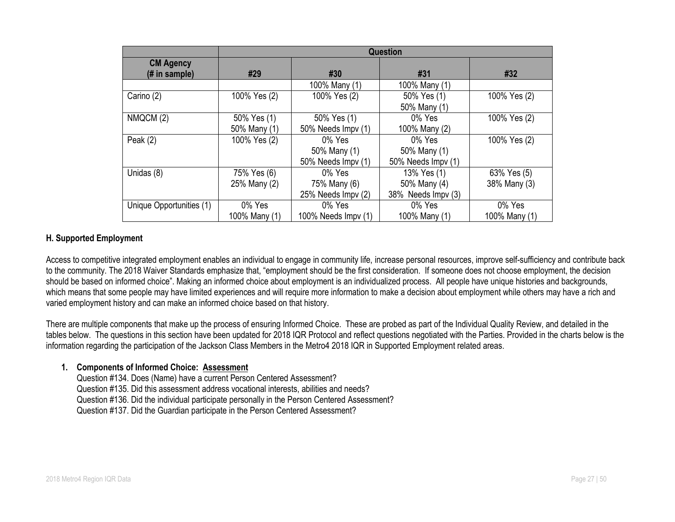|                                   | <b>Question</b>             |                                                 |                                                   |                             |  |  |  |  |
|-----------------------------------|-----------------------------|-------------------------------------------------|---------------------------------------------------|-----------------------------|--|--|--|--|
| <b>CM Agency</b><br>(# in sample) | #29                         | #30                                             | #31                                               | #32                         |  |  |  |  |
|                                   |                             | 100% Many (1)                                   | 100% Many (1)                                     |                             |  |  |  |  |
| Carino (2)                        | 100% Yes (2)                | 100% Yes (2)                                    | 50% Yes (1)<br>50% Many (1)                       | 100% Yes (2)                |  |  |  |  |
| NMQCM (2)                         | 50% Yes (1)<br>50% Many (1) | 50% Yes (1)<br>50% Needs Impv (1)               | 0% Yes<br>100% Many (2)                           | 100% Yes (2)                |  |  |  |  |
| Peak $(2)$                        | 100% Yes (2)                | 0% Yes<br>50% Many (1)<br>50% Needs Impv (1)    | 0% Yes<br>50% Many (1)<br>50% Needs Impv (1)      | 100% Yes (2)                |  |  |  |  |
| Unidas (8)                        | 75% Yes (6)<br>25% Many (2) | $0\%$ Yes<br>75% Many (6)<br>25% Needs Impv (2) | 13% Yes (1)<br>50% Many (4)<br>38% Needs Impv (3) | 63% Yes (5)<br>38% Many (3) |  |  |  |  |
| Unique Opportunities (1)          | 0% Yes<br>100% Many (1)     | 0% Yes<br>100% Needs Impv (1)                   | 0% Yes<br>100% Many (1)                           | 0% Yes<br>100% Many (1)     |  |  |  |  |

### **H. Supported Employment**

Access to competitive integrated employment enables an individual to engage in community life, increase personal resources, improve self-sufficiency and contribute back to the community. The 2018 Waiver Standards emphasize that, "employment should be the first consideration. If someone does not choose employment, the decision should be based on informed choice". Making an informed choice about employment is an individualized process. All people have unique histories and backgrounds, which means that some people may have limited experiences and will require more information to make a decision about employment while others may have a rich and varied employment history and can make an informed choice based on that history.

There are multiple components that make up the process of ensuring Informed Choice. These are probed as part of the Individual Quality Review, and detailed in the tables below. The questions in this section have been updated for 2018 IQR Protocol and reflect questions negotiated with the Parties. Provided in the charts below is the information regarding the participation of the Jackson Class Members in the Metro4 2018 IQR in Supported Employment related areas.

#### **1. Components of Informed Choice: Assessment**

Question #134. Does (Name) have a current Person Centered Assessment? Question #135. Did this assessment address vocational interests, abilities and needs? Question #136. Did the individual participate personally in the Person Centered Assessment? Question #137. Did the Guardian participate in the Person Centered Assessment?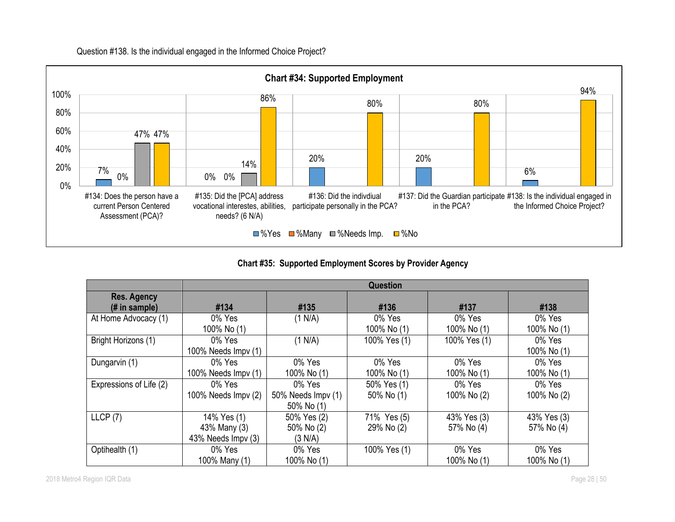

# Question #138. Is the individual engaged in the Informed Choice Project?

**Chart #35: Supported Employment Scores by Provider Agency**

|                         | Question                    |                    |              |              |             |  |
|-------------------------|-----------------------------|--------------------|--------------|--------------|-------------|--|
| <b>Res. Agency</b>      |                             |                    |              |              |             |  |
| $#$ in sample)          | #134                        | #135               | #136         | #137         | #138        |  |
| At Home Advocacy (1)    | 0% Yes                      | (1 N/A)            | 0% Yes       | 0% Yes       | 0% Yes      |  |
|                         | 100% No (1)                 |                    | 100% No (1)  | 100% No (1)  | 100% No (1) |  |
| Bright Horizons (1)     | 0% Yes                      | (1 N/A)            | 100% Yes (1) | 100% Yes (1) | 0% Yes      |  |
|                         | 100% Needs Impv (1)         |                    |              |              | 100% No (1) |  |
| Dungarvin (1)           | 0% Yes                      | 0% Yes             | 0% Yes       | 0% Yes       | 0% Yes      |  |
|                         | 100% Needs $\text{Impv}(1)$ | 100% No (1)        | 100% No (1)  | 100% No (1)  | 100% No (1) |  |
| Expressions of Life (2) | 0% Yes                      | 0% Yes             | 50% Yes (1)  | 0% Yes       | 0% Yes      |  |
|                         | 100% Needs Impv (2)         | 50% Needs Impv (1) | 50% No (1)   | 100% No (2)  | 100% No (2) |  |
|                         |                             | 50% No (1)         |              |              |             |  |
| LLCP(7)                 | 14% Yes (1)                 | 50% Yes (2)        | 71% Yes (5)  | 43% Yes (3)  | 43% Yes (3) |  |
|                         | 43% Many (3)                | 50% No (2)         | 29% No (2)   | 57% No (4)   | 57% No (4)  |  |
|                         | 43% Needs Impv (3)          | (3 N/A)            |              |              |             |  |
| Optihealth (1)          | 0% Yes                      | 0% Yes             | 100% Yes (1) | 0% Yes       | 0% Yes      |  |
|                         | 100% Many (1)               | 100% No (1)        |              | 100% No (1)  | 100% No (1) |  |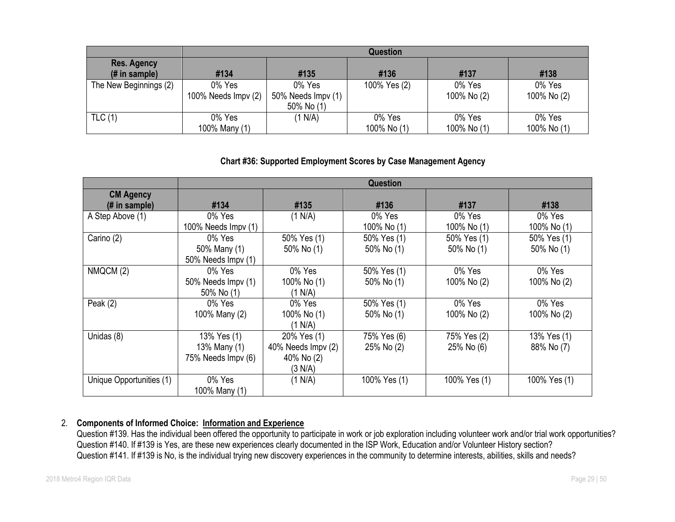|                                                 | <b>Question</b>               |                                            |                       |                       |                       |  |  |
|-------------------------------------------------|-------------------------------|--------------------------------------------|-----------------------|-----------------------|-----------------------|--|--|
| <b>Res. Agency</b><br>$(H \in \mathsf{sample})$ | #134                          | #135                                       | #136                  | #137                  | #138                  |  |  |
| The New Beginnings (2)                          | 0% Yes<br>100% Needs Impv (2) | 0% Yes<br>50% Needs Impv (1)<br>50% No (1) | 100% Yes (2)          | 0% Yes<br>100% No (2) | 0% Yes<br>100% No (2) |  |  |
| TLC(1)                                          | 0% Yes<br>100% Many (1)       | (1 N/A)                                    | 0% Yes<br>100% No (1) | 0% Yes<br>100% No (1) | 0% Yes<br>100% No (1) |  |  |

### **Chart #36: Supported Employment Scores by Case Management Agency**

|                          | <b>Question</b>     |                    |              |              |              |  |  |
|--------------------------|---------------------|--------------------|--------------|--------------|--------------|--|--|
| <b>CM Agency</b>         |                     |                    |              |              |              |  |  |
| (# in sample)            | #134                | #135               | #136         | #137         | #138         |  |  |
| A Step Above (1)         | 0% Yes              | (1 N/A)            | 0% Yes       | 0% Yes       | 0% Yes       |  |  |
|                          | 100% Needs Impv (1) |                    | 100% No (1)  | 100% No (1)  | 100% No (1)  |  |  |
| Carino (2)               | 0% Yes              | 50% Yes (1)        | 50% Yes (1)  | 50% Yes (1)  | 50% Yes (1)  |  |  |
|                          | 50% Many (1)        | 50% No (1)         | 50% No (1)   | 50% No (1)   | 50% No (1)   |  |  |
|                          | 50% Needs Impv (1)  |                    |              |              |              |  |  |
| NMQCM (2)                | 0% Yes              | 0% Yes             | 50% Yes (1)  | 0% Yes       | 0% Yes       |  |  |
|                          | 50% Needs Impv (1)  | 100% No (1)        | 50% No (1)   | 100% No (2)  | 100% No (2)  |  |  |
|                          | 50% No (1)          | (1 N/A)            |              |              |              |  |  |
| Peak $(2)$               | 0% Yes              | 0% Yes             | 50% Yes (1)  | 0% Yes       | 0% Yes       |  |  |
|                          | 100% Many (2)       | 100% No (1)        | 50% No (1)   | 100% No (2)  | 100% No (2)  |  |  |
|                          |                     | (1 N/A)            |              |              |              |  |  |
| Unidas (8)               | 13% Yes (1)         | 20% Yes (1)        | 75% Yes (6)  | 75% Yes (2)  | 13% Yes (1)  |  |  |
|                          | 13% Many (1)        | 40% Needs Impv (2) | 25% No (2)   | 25% No (6)   | 88% No (7)   |  |  |
|                          | 75% Needs Impv (6)  | 40% No (2)         |              |              |              |  |  |
|                          |                     | (3 N/A)            |              |              |              |  |  |
| Unique Opportunities (1) | 0% Yes              | (1 N/A)            | 100% Yes (1) | 100% Yes (1) | 100% Yes (1) |  |  |
|                          | 100% Many (1)       |                    |              |              |              |  |  |

# 2. **Components of Informed Choice: Information and Experience**

Question #139. Has the individual been offered the opportunity to participate in work or job exploration including volunteer work and/or trial work opportunities? Question #140. If #139 is Yes, are these new experiences clearly documented in the ISP Work, Education and/or Volunteer History section? Question #141. If #139 is No, is the individual trying new discovery experiences in the community to determine interests, abilities, skills and needs?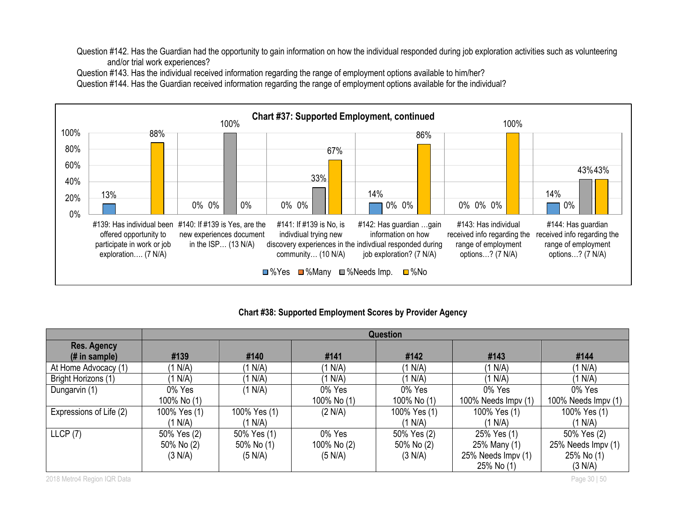Question #142. Has the Guardian had the opportunity to gain information on how the individual responded during job exploration activities such as volunteering and/or trial work experiences?

Question #143. Has the individual received information regarding the range of employment options available to him/her?

Question #144. Has the Guardian received information regarding the range of employment options available for the individual?



#### **Chart #38: Supported Employment Scores by Provider Agency**

|                               | <b>Question</b> |              |             |              |                     |                     |  |
|-------------------------------|-----------------|--------------|-------------|--------------|---------------------|---------------------|--|
| Res. Agency<br>$#$ in sample) | #139            | #140         | #141        | #142         | #143                | #144                |  |
| At Home Advocacy (1)          | (1 N/A)         | (1 N/A)      | (1 N/A)     | (1 N/A)      | (1 N/A)             | (1 N/A)             |  |
| Bright Horizons (1)           | N/A             | (1 N/A)      | (1 N/A)     | (1 N/A)      | IN(A)               | (1 N/A)             |  |
| Dungarvin (1)                 | 0% Yes          | (1 N/A)      | 0% Yes      | 0% Yes       | 0% Yes              | 0% Yes              |  |
|                               | 100% No (1)     |              | 100% No (1) | 100% No (1)  | 100% Needs Impv (1) | 100% Needs Impv (1) |  |
| Expressions of Life (2)       | 100% Yes (1)    | 100% Yes (1) | (2 N/A)     | 100% Yes (1) | 100% Yes (1)        | 100% Yes (1)        |  |
|                               | (1 N/A)         | (1 N/A)      |             | (1 N/A)      | (1 N/A)             | (1 N/A)             |  |
| LLCP(7)                       | 50% Yes (2)     | 50% Yes (1)  | 0% Yes      | 50% Yes (2)  | 25% Yes (1)         | 50% Yes (2)         |  |
|                               | 50% No (2)      | 50% No (1)   | 100% No (2) | 50% No (2)   | 25% Many (1)        | 25% Needs Impv (1)  |  |
|                               | (3 N/A)         | (5 N/A)      | (5 N/A)     | (3 N/A)      | 25% Needs Impv (1)  | 25% No (1)          |  |
|                               |                 |              |             |              | 25% No (1)          | (3 N/A)             |  |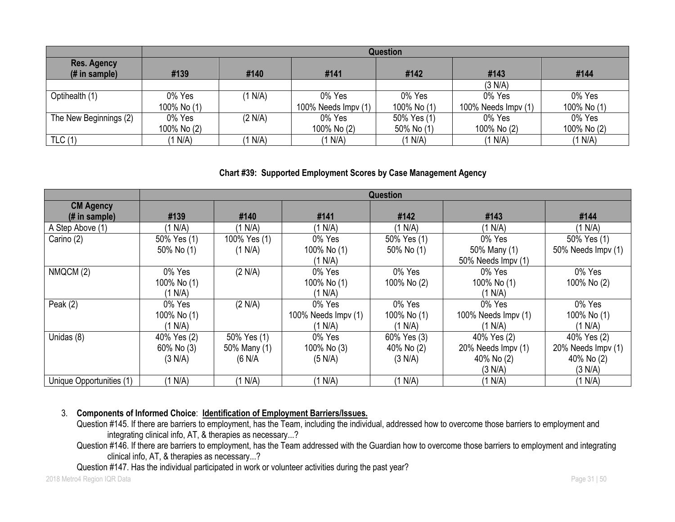|                                       | <b>Question</b>                      |         |                     |             |                     |             |  |
|---------------------------------------|--------------------------------------|---------|---------------------|-------------|---------------------|-------------|--|
| <b>Res. Agency</b><br>$(H$ in sample) | #139<br>#141<br>#142<br>#140<br>#143 |         |                     |             |                     |             |  |
|                                       |                                      |         |                     |             | (3 N/A)             |             |  |
| Optihealth (1)                        | 0% Yes                               | (1 N/A) | 0% Yes              | 0% Yes      | 0% Yes              | 0% Yes      |  |
|                                       | 100% No (1)                          |         | 100% Needs Impv (1) | 100% No (1) | 100% Needs Impy (1) | 100% No (1) |  |
| The New Beginnings (2)                | 0% Yes                               | (2 N/A) | 0% Yes              | 50% Yes (1) | 0% Yes              | 0% Yes      |  |
|                                       | 100% No (2)                          |         | 100% No (2)         | 50% No (1)  | 100% No (2)         | 100% No (2) |  |
| TLC(1)                                | (1 N/A)                              | (1 N/A) | (1 N/A)             | (1 N/A)     | (1 N/A)             | (1 N/A)     |  |

#### **Chart #39: Supported Employment Scores by Case Management Agency**

|                          | <b>Question</b> |              |                     |             |                     |                    |
|--------------------------|-----------------|--------------|---------------------|-------------|---------------------|--------------------|
| <b>CM Agency</b>         |                 |              |                     |             |                     |                    |
| (# in sample)            | #139            | #140         | #141                | #142        | #143                | #144               |
| A Step Above (1)         | (1 N/A)         | (1 N/A)      | (1 N/A)             | (1 N/A)     | (1 N/A)             | (1 N/A)            |
| Carino (2)               | 50% Yes (1)     | 100% Yes (1) | 0% Yes              | 50% Yes (1) | 0% Yes              | 50% Yes (1)        |
|                          | 50% No (1)      | (1 N/A)      | 100% No (1)         | 50% No (1)  | 50% Many (1)        | 50% Needs Impv (1) |
|                          |                 |              | (1 N/A)             |             | 50% Needs Impv (1)  |                    |
| NMQCM (2)                | 0% Yes          | (2 N/A)      | 0% Yes              | 0% Yes      | 0% Yes              | 0% Yes             |
|                          | 100% No (1)     |              | 100% No (1)         | 100% No (2) | 100% No (1)         | 100% No (2)        |
|                          | (1 N/A)         |              | (1 N/A)             |             | (1 N/A)             |                    |
| Peak $(2)$               | 0% Yes          | (2 N/A)      | 0% Yes              | 0% Yes      | 0% Yes              | 0% Yes             |
|                          | 100% No (1)     |              | 100% Needs Impv (1) | 100% No (1) | 100% Needs Impv (1) | 100% No (1)        |
|                          | (1 N/A)         |              | (1 N/A)             | (1 N/A)     | (1 N/A)             | (1 N/A)            |
| Unidas (8)               | 40% Yes (2)     | 50% Yes (1)  | 0% Yes              | 60% Yes (3) | 40% Yes (2)         | 40% Yes (2)        |
|                          | 60% No (3)      | 50% Many (1) | 100% No (3)         | 40% No (2)  | 20% Needs Impv (1)  | 20% Needs Impv (1) |
|                          | (3 N/A)         | (6 N/A)      | (5 N/A)             | (3 N/A)     | 40% No (2)          | 40% No (2)         |
|                          |                 |              |                     |             | (3 N/A)             | (3 N/A)            |
| Unique Opportunities (1) | (1 N/A)         | 1 N/A        | 1 N/A               | (1 N/A)     | (1 N/A)             | (1 N/A)            |

### 3. **Components of Informed Choice**: **Identification of Employment Barriers/Issues.**

Question #145. If there are barriers to employment, has the Team, including the individual, addressed how to overcome those barriers to employment and integrating clinical info, AT, & therapies as necessary...?

Question #146. If there are barriers to employment, has the Team addressed with the Guardian how to overcome those barriers to employment and integrating clinical info, AT, & therapies as necessary...?

Question #147. Has the individual participated in work or volunteer activities during the past year?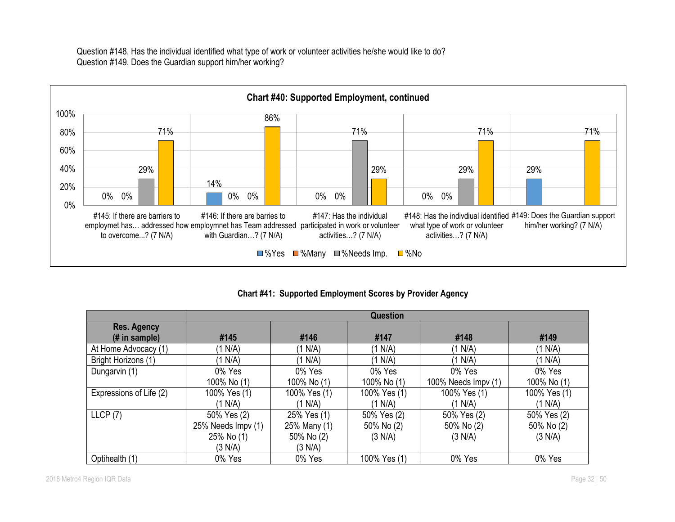Question #148. Has the individual identified what type of work or volunteer activities he/she would like to do? Question #149. Does the Guardian support him/her working?



**Chart #41: Supported Employment Scores by Provider Agency**

|                                                 | <b>Question</b>    |              |              |                      |              |  |  |
|-------------------------------------------------|--------------------|--------------|--------------|----------------------|--------------|--|--|
| <b>Res. Agency</b><br>$(H \in \mathsf{sample})$ | #145               | #146         | #147         | #148                 | #149         |  |  |
| At Home Advocacy (1)                            | (1 N/A)            | (1 N/A)      | (1 N/A)      | (1 N/A)              | (1 N/A)      |  |  |
| Bright Horizons (1)                             | (1 N/A)            | (1 N/A)      | (1 N/A)      | (1 N/A)              | (1 N/A)      |  |  |
| Dungarvin (1)                                   | 0% Yes             | 0% Yes       | 0% Yes       | 0% Yes               | 0% Yes       |  |  |
|                                                 | 100% No (1)        | 100% No (1)  | 100% No (1)  | 100% Needs $Impv(1)$ | 100% No (1)  |  |  |
| Expressions of Life (2)                         | 100% Yes (1)       | 100% Yes (1) | 100% Yes (1) | 100% Yes (1)         | 100% Yes (1) |  |  |
|                                                 | (1 N/A)            | (1 N/A)      | (1 N/A)      | (1 N/A)              | (1 N/A)      |  |  |
| LLCP(7)                                         | 50% Yes (2)        | 25% Yes (1)  | 50% Yes (2)  | 50% Yes (2)          | 50% Yes (2)  |  |  |
|                                                 | 25% Needs Impv (1) | 25% Many (1) | 50% No (2)   | 50% No (2)           | 50% No (2)   |  |  |
|                                                 | 25% No (1)         | 50% No (2)   | (3 N/A)      | (3 N/A)              | (3 N/A)      |  |  |
|                                                 | (3 N/A)            | (3 N/A)      |              |                      |              |  |  |
| Optihealth (1)                                  | 0% Yes             | 0% Yes       | 100% Yes (1) | 0% Yes               | 0% Yes       |  |  |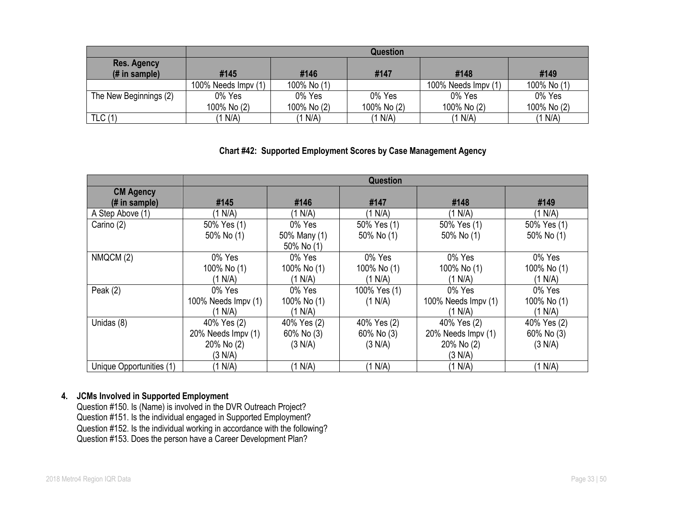|                                      | Question            |                              |             |                     |             |  |  |  |  |
|--------------------------------------|---------------------|------------------------------|-------------|---------------------|-------------|--|--|--|--|
| <b>Res. Agency</b><br>$#$ in sample) | #145                | #146<br>#149<br>#148<br>#147 |             |                     |             |  |  |  |  |
|                                      | 100% Needs Impv (1) | 100% No (1)                  |             | 100% Needs Impv (1) | 100% No (1) |  |  |  |  |
| The New Beginnings (2)               | 0% Yes              | 0% Yes                       | 0% Yes      | 0% Yes              | 0% Yes      |  |  |  |  |
|                                      | 100% No (2)         | 100% No (2)                  | 100% No (2) | 100% No (2)         | 100% No (2) |  |  |  |  |
| TLC(1)                               | (1 N/A)             | (1 N/A)                      | (1 N/A)     | (1 N/A)             | (1 N/A)     |  |  |  |  |

# **Chart #42: Supported Employment Scores by Case Management Agency**

|                          | <b>Question</b>     |              |              |                     |             |  |  |
|--------------------------|---------------------|--------------|--------------|---------------------|-------------|--|--|
| <b>CM Agency</b>         |                     |              |              |                     |             |  |  |
| (# in sample)            | #145                | #146         | #147         | #148                | #149        |  |  |
| A Step Above (1)         | (1 N/A)             | (1 N/A)      | (1 N/A)      | (1 N/A)             | (1 N/A)     |  |  |
| Carino (2)               | 50% Yes (1)         | 0% Yes       | 50% Yes (1)  | 50% Yes (1)         | 50% Yes (1) |  |  |
|                          | 50% No (1)          | 50% Many (1) | 50% No (1)   | 50% No (1)          | 50% No (1)  |  |  |
|                          |                     | 50% No (1)   |              |                     |             |  |  |
| NMQCM(2)                 | 0% Yes              | 0% Yes       | 0% Yes       | 0% Yes              | 0% Yes      |  |  |
|                          | 100% No (1)         | 100% No (1)  | 100% No (1)  | 100% No (1)         | 100% No (1) |  |  |
|                          | (1 N/A)             | (1 N/A)      | (1 N/A)      | (1 N/A)             | (1 N/A)     |  |  |
| Peak $(2)$               | 0% Yes              | 0% Yes       | 100% Yes (1) | 0% Yes              | 0% Yes      |  |  |
|                          | 100% Needs Impv (1) | 100% No (1)  | (1 N/A)      | 100% Needs Impv (1) | 100% No (1) |  |  |
|                          | (1 N/A)             | (1 N/A)      |              | (1 N/A)             | (1 N/A)     |  |  |
| Unidas (8)               | 40% Yes (2)         | 40% Yes (2)  | 40% Yes (2)  | 40% Yes (2)         | 40% Yes (2) |  |  |
|                          | 20% Needs Impv (1)  | 60% No (3)   | 60% No (3)   | 20% Needs Impv (1)  | 60% No (3)  |  |  |
|                          | 20% No (2)          | (3 N/A)      | (3 N/A)      | 20% No (2)          | (3 N/A)     |  |  |
|                          | (3 N/A)             |              |              | (3 N/A)             |             |  |  |
| Unique Opportunities (1) | (1 N/A)             | (1 N/A)      | (1 N/A)      | (1 N/A)             | (1 N/A)     |  |  |

#### **4. JCMs Involved in Supported Employment**

Question #150. Is (Name) is involved in the DVR Outreach Project? Question #151. Is the individual engaged in Supported Employment? Question #152. Is the individual working in accordance with the following? Question #153. Does the person have a Career Development Plan?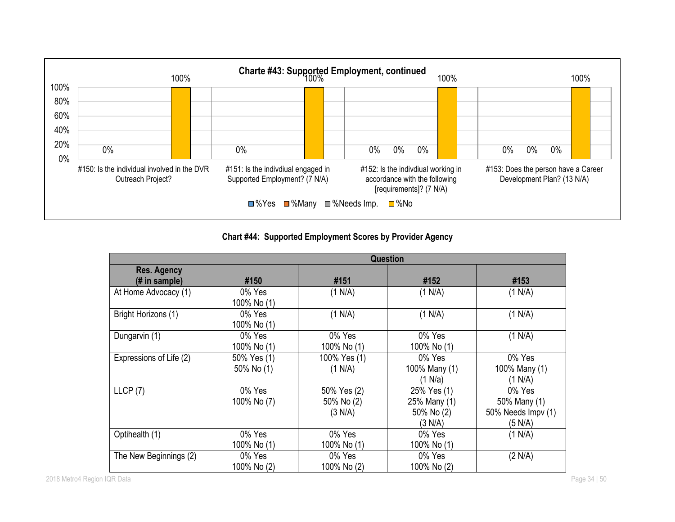

# **Chart #44: Supported Employment Scores by Provider Agency**

|                                     | <b>Question</b>           |                                      |                                                      |                                                         |  |  |  |
|-------------------------------------|---------------------------|--------------------------------------|------------------------------------------------------|---------------------------------------------------------|--|--|--|
| <b>Res. Agency</b><br>(# in sample) | #150                      | #151                                 | #152                                                 | #153                                                    |  |  |  |
| At Home Advocacy (1)                | 0% Yes<br>100% No (1)     | (1 N/A)                              | (1 N/A)                                              | (1 N/A)                                                 |  |  |  |
| Bright Horizons (1)                 | 0% Yes<br>100% No (1)     | (1 N/A)                              | (1 N/A)                                              | (1 N/A)                                                 |  |  |  |
| Dungarvin (1)                       | 0% Yes<br>100% No (1)     | 0% Yes<br>100% No (1)                | 0% Yes<br>100% No (1)                                | (1 N/A)                                                 |  |  |  |
| Expressions of Life (2)             | 50% Yes (1)<br>50% No (1) | 100% Yes (1)<br>(1 N/A)              | 0% Yes<br>100% Many (1)<br>(1 N/a)                   | 0% Yes<br>100% Many (1)<br>(1 N/A)                      |  |  |  |
| LLCP(7)                             | 0% Yes<br>100% No (7)     | 50% Yes (2)<br>50% No (2)<br>(3 N/A) | 25% Yes (1)<br>25% Many (1)<br>50% No (2)<br>(3 N/A) | 0% Yes<br>50% Many (1)<br>50% Needs Impv (1)<br>(5 N/A) |  |  |  |
| Optihealth (1)                      | 0% Yes<br>100% No (1)     | 0% Yes<br>100% No (1)                | 0% Yes<br>100% No (1)                                | (1 N/A)                                                 |  |  |  |
| The New Beginnings (2)              | 0% Yes<br>100% No (2)     | 0% Yes<br>100% No (2)                | 0% Yes<br>100% No (2)                                | (2 N/A)                                                 |  |  |  |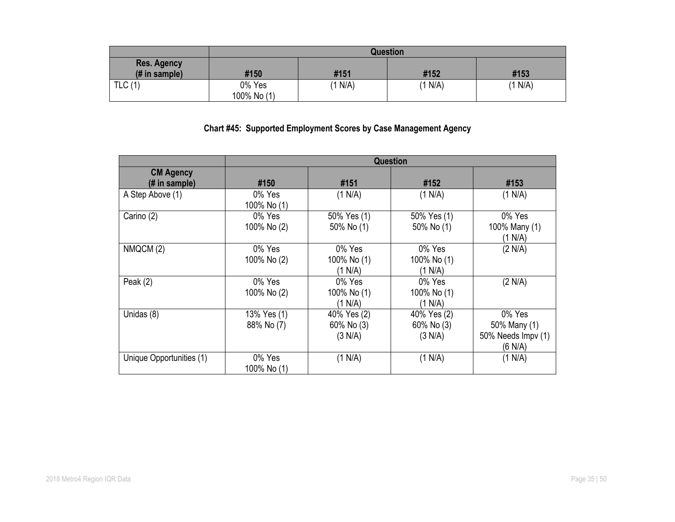|                                                       |                       |         | <b>Question</b> |         |
|-------------------------------------------------------|-----------------------|---------|-----------------|---------|
| <b>Res. Agency</b><br>$(H \in \mathbb{R})$ in sample) | #150                  | #151    | #152            | #153    |
| TLC(1)                                                | 0% Yes<br>100% No (1) | (1 N/A) | (1 N/A)         | (1 N/A) |

# **Chart #45: Supported Employment Scores by Case Management Agency**

|                                   |                           |                                      | <b>Question</b>                      |                                                         |
|-----------------------------------|---------------------------|--------------------------------------|--------------------------------------|---------------------------------------------------------|
| <b>CM Agency</b><br>(# in sample) | #150                      | #151                                 | #152                                 | #153                                                    |
| A Step Above (1)                  | 0% Yes<br>100% No (1)     | (1 N/A)                              | (1 N/A)                              | (1 N/A)                                                 |
| Carino (2)                        | 0% Yes<br>100% No (2)     | 50% Yes (1)<br>50% No (1)            | 50% Yes (1)<br>50% No (1)            | 0% Yes<br>100% Many (1)<br>(1 N/A)                      |
| NMQCM (2)                         | 0% Yes<br>100% No (2)     | 0% Yes<br>100% No (1)<br>(1 N/A)     | 0% Yes<br>100% No (1)<br>(1 N/A)     | (2 N/A)                                                 |
| Peak $(2)$                        | 0% Yes<br>100% No (2)     | 0% Yes<br>100% No (1)<br>(1 N/A)     | 0% Yes<br>100% No (1)<br>(1 N/A)     | (2 N/A)                                                 |
| Unidas (8)                        | 13% Yes (1)<br>88% No (7) | 40% Yes (2)<br>60% No (3)<br>(3 N/A) | 40% Yes (2)<br>60% No (3)<br>(3 N/A) | 0% Yes<br>50% Many (1)<br>50% Needs Impv (1)<br>(6 N/A) |
| Unique Opportunities (1)          | 0% Yes<br>100% No (1)     | (1 N/A)                              | (1 N/A)                              | (1 N/A)                                                 |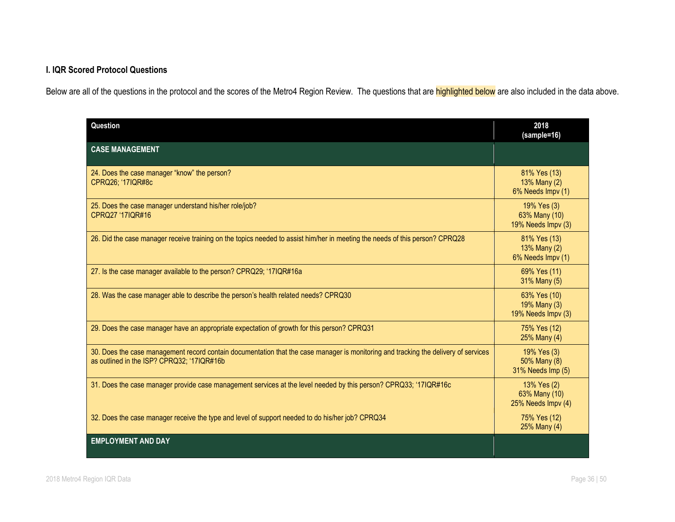# **I. IQR Scored Protocol Questions**

Below are all of the questions in the protocol and the scores of the Metro4 Region Review. The questions that are highlighted below are also included in the data above.

| Question                                                                                                                                                                          | 2018<br>(sample=16)                                |
|-----------------------------------------------------------------------------------------------------------------------------------------------------------------------------------|----------------------------------------------------|
| <b>CASE MANAGEMENT</b>                                                                                                                                                            |                                                    |
| 24. Does the case manager "know" the person?<br>CPRQ26; '17IQR#8c                                                                                                                 | 81% Yes (13)<br>13% Many (2)<br>6% Needs Impv (1)  |
| 25. Does the case manager understand his/her role/job?<br>CPRQ27 '17IQR#16                                                                                                        | 19% Yes (3)<br>63% Many (10)<br>19% Needs Impy (3) |
| 26. Did the case manager receive training on the topics needed to assist him/her in meeting the needs of this person? CPRQ28                                                      | 81% Yes (13)<br>13% Many (2)<br>6% Needs Impv (1)  |
| 27. Is the case manager available to the person? CPRQ29; '17IQR#16a                                                                                                               | 69% Yes (11)<br>31% Many (5)                       |
| 28. Was the case manager able to describe the person's health related needs? CPRQ30                                                                                               | 63% Yes (10)<br>19% Many (3)<br>19% Needs Impv (3) |
| 29. Does the case manager have an appropriate expectation of growth for this person? CPRQ31                                                                                       | 75% Yes (12)<br>25% Many (4)                       |
| 30. Does the case management record contain documentation that the case manager is monitoring and tracking the delivery of services<br>as outlined in the ISP? CPRQ32; '17IQR#16b | 19% Yes (3)<br>50% Many (8)<br>31% Needs Imp (5)   |
| 31. Does the case manager provide case management services at the level needed by this person? CPRQ33; '17IQR#16c                                                                 | 13% Yes (2)<br>63% Many (10)<br>25% Needs Impv (4) |
| 32. Does the case manager receive the type and level of support needed to do his/her job? CPRQ34                                                                                  | 75% Yes (12)<br>25% Many (4)                       |
| <b>EMPLOYMENT AND DAY</b>                                                                                                                                                         |                                                    |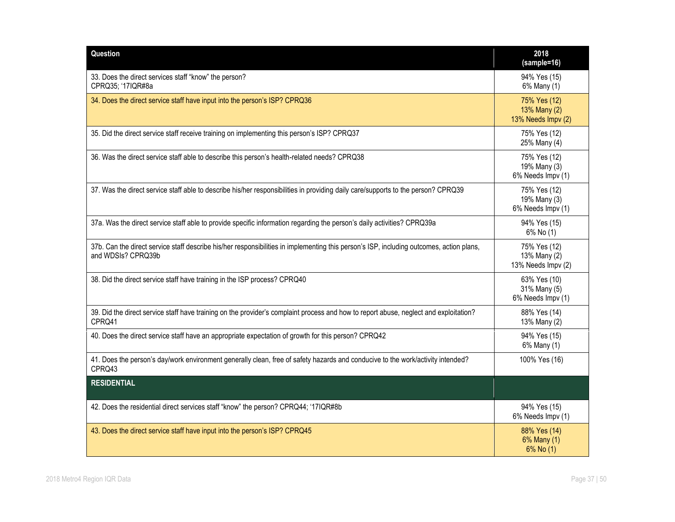| <b>Question</b>                                                                                                                                                | 2018<br>(sample=16)                                |
|----------------------------------------------------------------------------------------------------------------------------------------------------------------|----------------------------------------------------|
| 33. Does the direct services staff "know" the person?<br>CPRQ35; '17IQR#8a                                                                                     | 94% Yes (15)<br>6% Many (1)                        |
| 34. Does the direct service staff have input into the person's ISP? CPRQ36                                                                                     | 75% Yes (12)<br>13% Many (2)<br>13% Needs Impv (2) |
| 35. Did the direct service staff receive training on implementing this person's ISP? CPRQ37                                                                    | 75% Yes (12)<br>25% Many (4)                       |
| 36. Was the direct service staff able to describe this person's health-related needs? CPRQ38                                                                   | 75% Yes (12)<br>19% Many (3)<br>6% Needs Impv (1)  |
| 37. Was the direct service staff able to describe his/her responsibilities in providing daily care/supports to the person? CPRQ39                              | 75% Yes (12)<br>19% Many (3)<br>6% Needs Impv (1)  |
| 37a. Was the direct service staff able to provide specific information regarding the person's daily activities? CPRQ39a                                        | 94% Yes (15)<br>6% No (1)                          |
| 37b. Can the direct service staff describe his/her responsibilities in implementing this person's ISP, including outcomes, action plans,<br>and WDSIs? CPRQ39b | 75% Yes (12)<br>13% Many (2)<br>13% Needs Impv (2) |
| 38. Did the direct service staff have training in the ISP process? CPRQ40                                                                                      | 63% Yes (10)<br>31% Many (5)<br>6% Needs Impv (1)  |
| 39. Did the direct service staff have training on the provider's complaint process and how to report abuse, neglect and exploitation?<br>CPRQ41                | 88% Yes (14)<br>13% Many (2)                       |
| 40. Does the direct service staff have an appropriate expectation of growth for this person? CPRQ42                                                            | 94% Yes (15)<br>6% Many (1)                        |
| 41. Does the person's day/work environment generally clean, free of safety hazards and conducive to the work/activity intended?<br>CPRQ43                      | 100% Yes (16)                                      |
| <b>RESIDENTIAL</b>                                                                                                                                             |                                                    |
| 42. Does the residential direct services staff "know" the person? CPRQ44; '17IQR#8b                                                                            | 94% Yes (15)<br>6% Needs Impv (1)                  |
| 43. Does the direct service staff have input into the person's ISP? CPRQ45                                                                                     | 88% Yes (14)<br>6% Many (1)<br>6% No (1)           |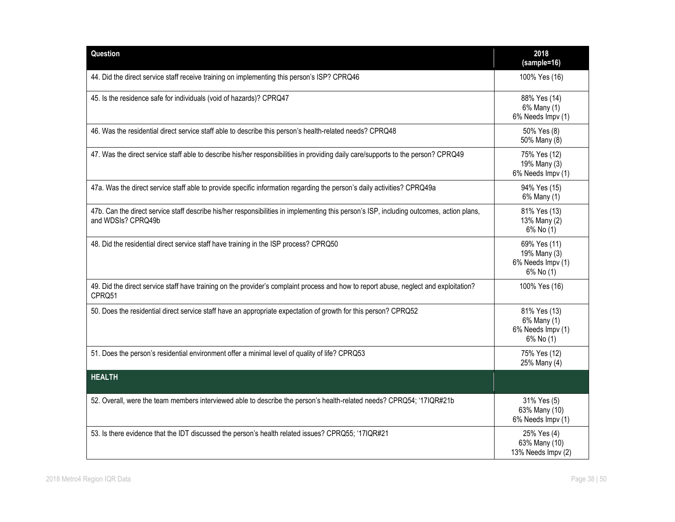| Question                                                                                                                                                       | 2018<br>(sample=16)                                            |
|----------------------------------------------------------------------------------------------------------------------------------------------------------------|----------------------------------------------------------------|
| 44. Did the direct service staff receive training on implementing this person's ISP? CPRQ46                                                                    | 100% Yes (16)                                                  |
| 45. Is the residence safe for individuals (void of hazards)? CPRQ47                                                                                            | 88% Yes (14)<br>6% Many (1)<br>6% Needs Impv (1)               |
| 46. Was the residential direct service staff able to describe this person's health-related needs? CPRQ48                                                       | 50% Yes (8)<br>50% Many (8)                                    |
| 47. Was the direct service staff able to describe his/her responsibilities in providing daily care/supports to the person? CPRQ49                              | 75% Yes (12)<br>19% Many (3)<br>6% Needs Impv (1)              |
| 47a. Was the direct service staff able to provide specific information regarding the person's daily activities? CPRQ49a                                        | 94% Yes (15)<br>6% Many (1)                                    |
| 47b. Can the direct service staff describe his/her responsibilities in implementing this person's ISP, including outcomes, action plans,<br>and WDSIs? CPRQ49b | 81% Yes (13)<br>13% Many (2)<br>6% No (1)                      |
| 48. Did the residential direct service staff have training in the ISP process? CPRQ50                                                                          | 69% Yes (11)<br>19% Many (3)<br>6% Needs Impv (1)<br>6% No (1) |
| 49. Did the direct service staff have training on the provider's complaint process and how to report abuse, neglect and exploitation?<br>CPRQ51                | 100% Yes (16)                                                  |
| 50. Does the residential direct service staff have an appropriate expectation of growth for this person? CPRQ52                                                | 81% Yes (13)<br>6% Many (1)<br>6% Needs Impv (1)<br>6% No (1)  |
| 51. Does the person's residential environment offer a minimal level of quality of life? CPRQ53                                                                 | 75% Yes (12)<br>25% Many (4)                                   |
| <b>HEALTH</b>                                                                                                                                                  |                                                                |
| 52. Overall, were the team members interviewed able to describe the person's health-related needs? CPRQ54; '17IQR#21b                                          | 31% Yes (5)<br>63% Many (10)<br>6% Needs Impv (1)              |
| 53. Is there evidence that the IDT discussed the person's health related issues? CPRQ55; '17IQR#21                                                             | 25% Yes (4)<br>63% Many (10)<br>13% Needs Impv (2)             |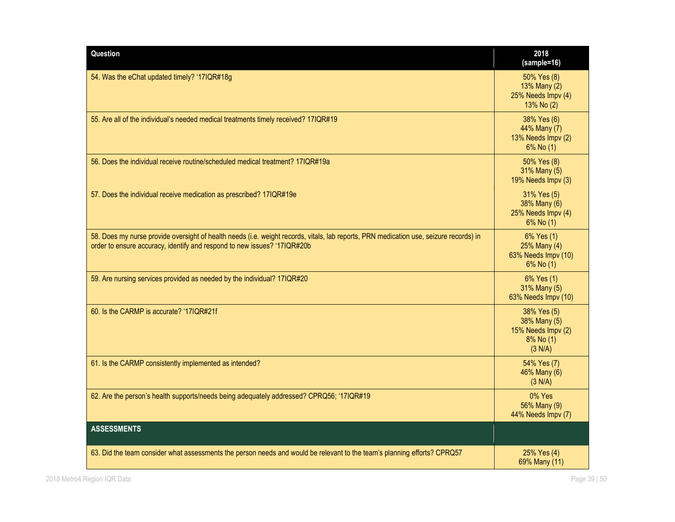| Question                                                                                                                                                                                                           | 2018<br>(sample=16)                                                       |
|--------------------------------------------------------------------------------------------------------------------------------------------------------------------------------------------------------------------|---------------------------------------------------------------------------|
| 54. Was the eChat updated timely? '17IQR#18g                                                                                                                                                                       | 50% Yes (8)<br>13% Many (2)<br>25% Needs Impv (4)<br>13% No (2)           |
| 55. Are all of the individual's needed medical treatments timely received? 17IQR#19                                                                                                                                | 38% Yes (6)<br>44% Many (7)<br>13% Needs Impv (2)<br>6% No (1)            |
| 56. Does the individual receive routine/scheduled medical treatment? 17IQR#19a                                                                                                                                     | 50% Yes (8)<br>31% Many (5)<br>19% Needs Impv (3)                         |
| 57. Does the individual receive medication as prescribed? 17IQR#19e                                                                                                                                                | 31% Yes (5)<br>38% Many (6)<br>25% Needs Impv (4)<br>6% No (1)            |
| 58. Does my nurse provide oversight of health needs (i.e. weight records, vitals, lab reports, PRN medication use, seizure records) in<br>order to ensure accuracy, identify and respond to new issues? '17IQR#20b | 6% Yes (1)<br>25% Many (4)<br>63% Needs Impv (10)<br>6% No (1)            |
| 59. Are nursing services provided as needed by the individual? 17IQR#20                                                                                                                                            | 6% Yes (1)<br>31% Many (5)<br>63% Needs Impv (10)                         |
| 60. Is the CARMP is accurate? '17IQR#21f                                                                                                                                                                           | 38% Yes (5)<br>38% Many (5)<br>15% Needs Impv (2)<br>8% No (1)<br>(3 N/A) |
| 61. Is the CARMP consistently implemented as intended?                                                                                                                                                             | 54% Yes (7)<br>46% Many (6)<br>(3 N/A)                                    |
| 62. Are the person's health supports/needs being adequately addressed? CPRQ56; '17IQR#19                                                                                                                           | 0% Yes<br>56% Many (9)<br>44% Needs Impv (7)                              |
| <b>ASSESSMENTS</b>                                                                                                                                                                                                 |                                                                           |
| 63. Did the team consider what assessments the person needs and would be relevant to the team's planning efforts? CPRQ57                                                                                           | 25% Yes (4)<br>69% Many (11)                                              |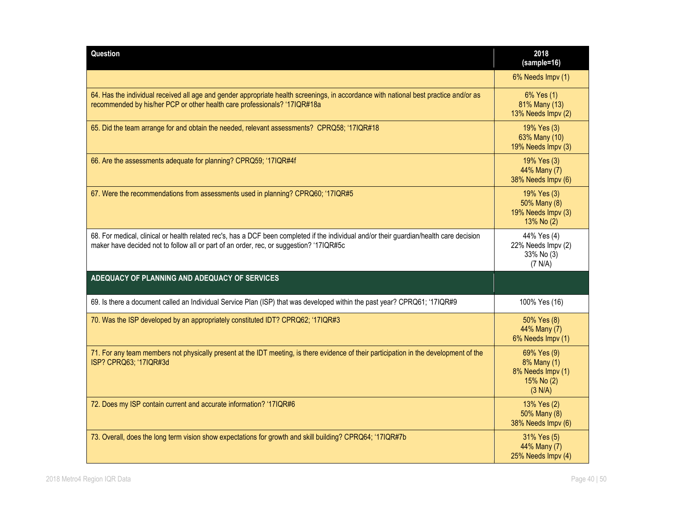| Question                                                                                                                                                                                                                            | 2018<br>(sample=16)                                                      |
|-------------------------------------------------------------------------------------------------------------------------------------------------------------------------------------------------------------------------------------|--------------------------------------------------------------------------|
|                                                                                                                                                                                                                                     | 6% Needs Impv (1)                                                        |
| 64. Has the individual received all age and gender appropriate health screenings, in accordance with national best practice and/or as<br>recommended by his/her PCP or other health care professionals? '17IQR#18a                  | 6% Yes (1)<br>81% Many (13)<br>13% Needs Impv (2)                        |
| 65. Did the team arrange for and obtain the needed, relevant assessments? CPRQ58; '17IQR#18                                                                                                                                         | 19% Yes (3)<br>63% Many (10)<br>19% Needs Impv (3)                       |
| 66. Are the assessments adequate for planning? CPRQ59; '17IQR#4f                                                                                                                                                                    | 19% Yes (3)<br>44% Many (7)<br>38% Needs Impv (6)                        |
| 67. Were the recommendations from assessments used in planning? CPRQ60; '17IQR#5                                                                                                                                                    | 19% Yes (3)<br>50% Many (8)<br>19% Needs Impv (3)<br>13% No (2)          |
| 68. For medical, clinical or health related rec's, has a DCF been completed if the individual and/or their guardian/health care decision<br>maker have decided not to follow all or part of an order, rec, or suggestion? '17IQR#5c | 44% Yes (4)<br>22% Needs Impv (2)<br>33% No (3)<br>(7 N/A)               |
| ADEQUACY OF PLANNING AND ADEQUACY OF SERVICES                                                                                                                                                                                       |                                                                          |
| 69. Is there a document called an Individual Service Plan (ISP) that was developed within the past year? CPRQ61; '17IQR#9                                                                                                           | 100% Yes (16)                                                            |
| 70. Was the ISP developed by an appropriately constituted IDT? CPRQ62; '17IQR#3                                                                                                                                                     | 50% Yes (8)<br>44% Many (7)<br>6% Needs Impv (1)                         |
| 71. For any team members not physically present at the IDT meeting, is there evidence of their participation in the development of the<br>ISP? CPRQ63; '17IQR#3d                                                                    | 69% Yes (9)<br>8% Many (1)<br>8% Needs Impv (1)<br>15% No (2)<br>(3 N/A) |
| 72. Does my ISP contain current and accurate information? '17IQR#6                                                                                                                                                                  | 13% Yes (2)<br>50% Many (8)<br>38% Needs Impv (6)                        |
| 73. Overall, does the long term vision show expectations for growth and skill building? CPRQ64; '17IQR#7b                                                                                                                           | 31% Yes (5)<br>44% Many (7)<br>25% Needs Impv (4)                        |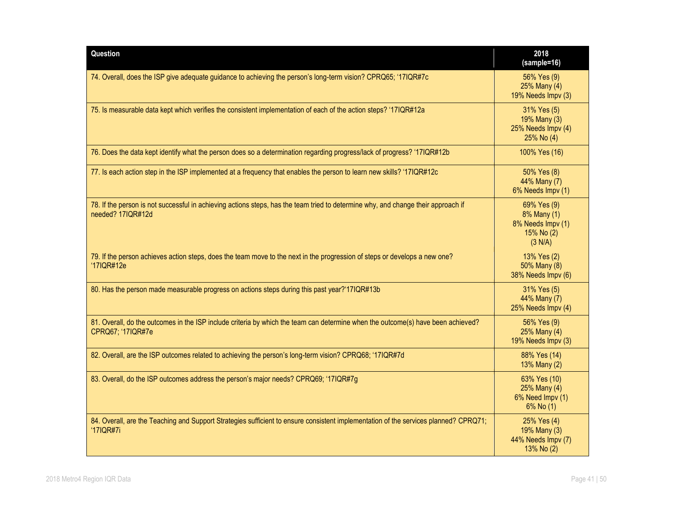| Question                                                                                                                                               | 2018<br>(sample=16)                                                      |
|--------------------------------------------------------------------------------------------------------------------------------------------------------|--------------------------------------------------------------------------|
| 74. Overall, does the ISP give adequate guidance to achieving the person's long-term vision? CPRQ65; '17IQR#7c                                         | 56% Yes (9)<br>25% Many (4)<br>19% Needs Impv (3)                        |
| 75. Is measurable data kept which verifies the consistent implementation of each of the action steps? '17IQR#12a                                       | 31% Yes (5)<br>19% Many (3)<br>25% Needs Impv (4)<br>25% No (4)          |
| 76. Does the data kept identify what the person does so a determination regarding progress/lack of progress? '17IQR#12b                                | 100% Yes (16)                                                            |
| 77. Is each action step in the ISP implemented at a frequency that enables the person to learn new skills? '17IQR#12c                                  | 50% Yes (8)<br>44% Many (7)<br>6% Needs Impv (1)                         |
| 78. If the person is not successful in achieving actions steps, has the team tried to determine why, and change their approach if<br>needed? 17IQR#12d | 69% Yes (9)<br>8% Many (1)<br>8% Needs Impv (1)<br>15% No (2)<br>(3 N/A) |
| 79. If the person achieves action steps, does the team move to the next in the progression of steps or develops a new one?<br>'17IQR#12e               | 13% Yes (2)<br>50% Many (8)<br>38% Needs Impv (6)                        |
| 80. Has the person made measurable progress on actions steps during this past year?'17IQR#13b                                                          | 31% Yes (5)<br>44% Many (7)<br>25% Needs Impv (4)                        |
| 81. Overall, do the outcomes in the ISP include criteria by which the team can determine when the outcome(s) have been achieved?<br>CPRQ67; '17IQR#7e  | 56% Yes (9)<br>25% Many (4)<br>19% Needs Impv (3)                        |
| 82. Overall, are the ISP outcomes related to achieving the person's long-term vision? CPRQ68; '17IQR#7d                                                | 88% Yes (14)<br>13% Many (2)                                             |
| 83. Overall, do the ISP outcomes address the person's major needs? CPRQ69; '17IQR#7g                                                                   | 63% Yes (10)<br>25% Many (4)<br>6% Need Impv (1)<br>6% No (1)            |
| 84. Overall, are the Teaching and Support Strategies sufficient to ensure consistent implementation of the services planned? CPRQ71;<br>'17IQR#7i      | 25% Yes (4)<br>19% Many (3)<br>44% Needs Impv (7)<br>13% No (2)          |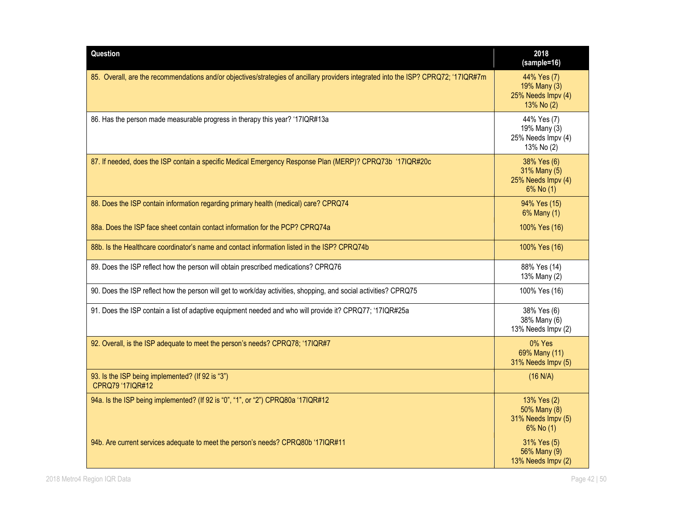| Question                                                                                                                            | 2018<br>(sample=16)                                                 |
|-------------------------------------------------------------------------------------------------------------------------------------|---------------------------------------------------------------------|
| 85. Overall, are the recommendations and/or objectives/strategies of ancillary providers integrated into the ISP? CPRQ72; '17IQR#7m | 44% Yes (7)<br>19% Many (3)<br>25% Needs Impv (4)<br>13% No (2)     |
| 86. Has the person made measurable progress in therapy this year? '17IQR#13a                                                        | 44% Yes (7)<br>19% Many (3)<br>25% Needs Impv (4)<br>13% No (2)     |
| 87. If needed, does the ISP contain a specific Medical Emergency Response Plan (MERP)? CPRQ73b '17IQR#20c                           | 38% Yes (6)<br>31% Many (5)<br>25% Needs Impv (4)<br>$6\%$ No $(1)$ |
| 88. Does the ISP contain information regarding primary health (medical) care? CPRQ74                                                | 94% Yes (15)<br>6% Many (1)                                         |
| 88a. Does the ISP face sheet contain contact information for the PCP? CPRQ74a                                                       | 100% Yes (16)                                                       |
| 88b. Is the Healthcare coordinator's name and contact information listed in the ISP? CPRQ74b                                        | 100% Yes (16)                                                       |
| 89. Does the ISP reflect how the person will obtain prescribed medications? CPRQ76                                                  | 88% Yes (14)<br>13% Many (2)                                        |
| 90. Does the ISP reflect how the person will get to work/day activities, shopping, and social activities? CPRQ75                    | 100% Yes (16)                                                       |
| 91. Does the ISP contain a list of adaptive equipment needed and who will provide it? CPRQ77; '17IQR#25a                            | 38% Yes (6)<br>38% Many (6)<br>13% Needs Impv (2)                   |
| 92. Overall, is the ISP adequate to meet the person's needs? CPRQ78; '17IQR#7                                                       | 0% Yes<br>69% Many (11)<br>31% Needs Impv (5)                       |
| 93. Is the ISP being implemented? (If 92 is "3")<br>CPRQ79 '17IQR#12                                                                | (16 N/A)                                                            |
| 94a. Is the ISP being implemented? (If 92 is "0", "1", or "2") CPRQ80a '17IQR#12                                                    | 13% Yes (2)<br>50% Many (8)<br>31% Needs Impv (5)<br>6% No (1)      |
| 94b. Are current services adequate to meet the person's needs? CPRQ80b '17IQR#11                                                    | 31% Yes (5)<br>56% Many (9)<br>13% Needs Impv (2)                   |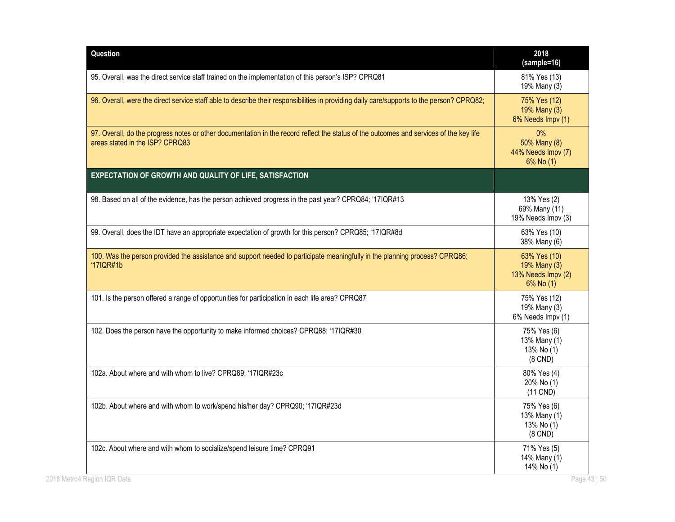| Question                                                                                                                                                                   | 2018<br>(sample=16)                                             |
|----------------------------------------------------------------------------------------------------------------------------------------------------------------------------|-----------------------------------------------------------------|
| 95. Overall, was the direct service staff trained on the implementation of this person's ISP? CPRQ81                                                                       | 81% Yes (13)<br>19% Many (3)                                    |
| 96. Overall, were the direct service staff able to describe their responsibilities in providing daily care/supports to the person? CPRQ82;                                 | 75% Yes (12)<br>19% Many (3)<br>6% Needs Impv (1)               |
| 97. Overall, do the progress notes or other documentation in the record reflect the status of the outcomes and services of the key life<br>areas stated in the ISP? CPRQ83 | 0%<br>50% Many (8)<br>44% Needs Impv (7)<br>6% No (1)           |
| EXPECTATION OF GROWTH AND QUALITY OF LIFE, SATISFACTION                                                                                                                    |                                                                 |
| 98. Based on all of the evidence, has the person achieved progress in the past year? CPRQ84; '17IQR#13                                                                     | 13% Yes (2)<br>69% Many (11)<br>19% Needs Impv (3)              |
| 99. Overall, does the IDT have an appropriate expectation of growth for this person? CPRQ85; '17IQR#8d                                                                     | 63% Yes (10)<br>38% Many (6)                                    |
| 100. Was the person provided the assistance and support needed to participate meaningfully in the planning process? CPRQ86;<br>$'17$ IQR#1b                                | 63% Yes (10)<br>19% Many (3)<br>13% Needs Impv (2)<br>6% No (1) |
| 101. Is the person offered a range of opportunities for participation in each life area? CPRQ87                                                                            | 75% Yes (12)<br>19% Many (3)<br>6% Needs Impv (1)               |
| 102. Does the person have the opportunity to make informed choices? CPRQ88; '17IQR#30                                                                                      | 75% Yes (6)<br>13% Many (1)<br>13% No (1)<br>$(8$ CND $)$       |
| 102a. About where and with whom to live? CPRQ89; '17IQR#23c                                                                                                                | 80% Yes (4)<br>20% No (1)<br>$(11$ CND)                         |
| 102b. About where and with whom to work/spend his/her day? CPRQ90; '17IQR#23d                                                                                              | 75% Yes (6)<br>13% Many (1)<br>13% No (1)<br>$(8$ CND $)$       |
| 102c. About where and with whom to socialize/spend leisure time? CPRQ91                                                                                                    | 71% Yes (5)<br>14% Many (1)<br>14% No (1)                       |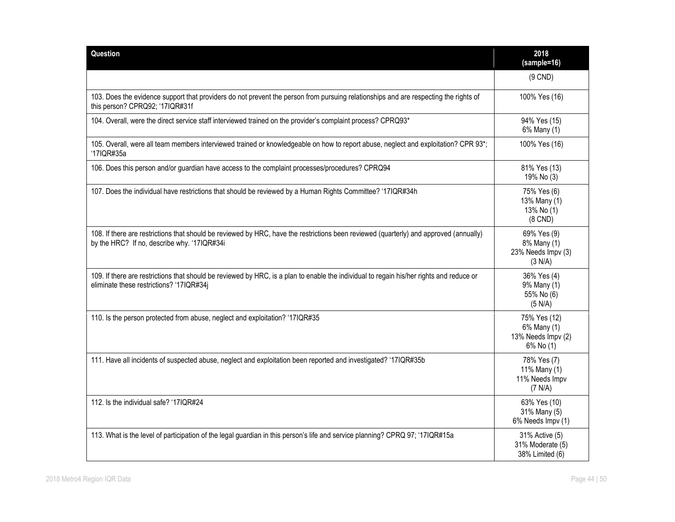| Question                                                                                                                                                                              | 2018<br>(sample=16)                                            |
|---------------------------------------------------------------------------------------------------------------------------------------------------------------------------------------|----------------------------------------------------------------|
|                                                                                                                                                                                       | $(9$ CND)                                                      |
| 103. Does the evidence support that providers do not prevent the person from pursuing relationships and are respecting the rights of<br>this person? CPRQ92; '17IQR#31f               | 100% Yes (16)                                                  |
| 104. Overall, were the direct service staff interviewed trained on the provider's complaint process? CPRQ93*                                                                          | 94% Yes (15)<br>6% Many (1)                                    |
| 105. Overall, were all team members interviewed trained or knowledgeable on how to report abuse, neglect and exploitation? CPR 93*;<br>'17IQR#35a                                     | 100% Yes (16)                                                  |
| 106. Does this person and/or guardian have access to the complaint processes/procedures? CPRQ94                                                                                       | 81% Yes (13)<br>19% No (3)                                     |
| 107. Does the individual have restrictions that should be reviewed by a Human Rights Committee? '17IQR#34h                                                                            | 75% Yes (6)<br>13% Many (1)<br>13% No (1)<br>$(8$ CND $)$      |
| 108. If there are restrictions that should be reviewed by HRC, have the restrictions been reviewed (quarterly) and approved (annually)<br>by the HRC? If no, describe why. '17IQR#34i | 69% Yes (9)<br>8% Many (1)<br>23% Needs Impv (3)<br>(3 N/A)    |
| 109. If there are restrictions that should be reviewed by HRC, is a plan to enable the individual to regain his/her rights and reduce or<br>eliminate these restrictions? '17IQR#34j  | 36% Yes (4)<br>9% Many (1)<br>55% No (6)<br>(5 N/A)            |
| 110. Is the person protected from abuse, neglect and exploitation? '17IQR#35                                                                                                          | 75% Yes (12)<br>6% Many (1)<br>13% Needs Impv (2)<br>6% No (1) |
| 111. Have all incidents of suspected abuse, neglect and exploitation been reported and investigated? '17IQR#35b                                                                       | 78% Yes (7)<br>11% Many (1)<br>11% Needs Impv<br>(7 N/A)       |
| 112. Is the individual safe? '17IQR#24                                                                                                                                                | 63% Yes (10)<br>31% Many (5)<br>6% Needs Impv (1)              |
| 113. What is the level of participation of the legal guardian in this person's life and service planning? CPRQ 97; '17IQR#15a                                                         | 31% Active (5)<br>31% Moderate (5)<br>38% Limited (6)          |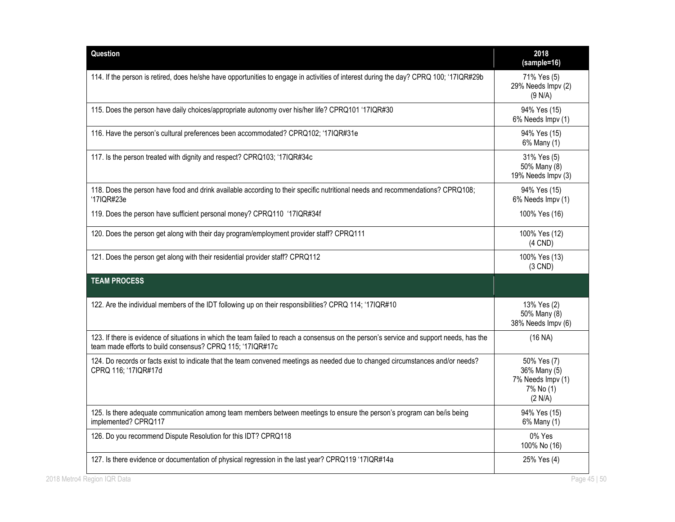| Question                                                                                                                                                                                               | 2018<br>(sample=16)                                                      |
|--------------------------------------------------------------------------------------------------------------------------------------------------------------------------------------------------------|--------------------------------------------------------------------------|
| 114. If the person is retired, does he/she have opportunities to engage in activities of interest during the day? CPRQ 100; '17IQR#29b                                                                 | 71% Yes (5)<br>29% Needs Impv (2)<br>(9 N/A)                             |
| 115. Does the person have daily choices/appropriate autonomy over his/her life? CPRQ101 '17IQR#30                                                                                                      | 94% Yes (15)<br>6% Needs Impv (1)                                        |
| 116. Have the person's cultural preferences been accommodated? CPRQ102; '17IQR#31e                                                                                                                     | 94% Yes (15)<br>6% Many (1)                                              |
| 117. Is the person treated with dignity and respect? CPRQ103; '17IQR#34c                                                                                                                               | 31% Yes (5)<br>50% Many (8)<br>19% Needs Impv (3)                        |
| 118. Does the person have food and drink available according to their specific nutritional needs and recommendations? CPRQ108;<br>'17IQR#23e                                                           | 94% Yes (15)<br>6% Needs Impv (1)                                        |
| 119. Does the person have sufficient personal money? CPRQ110 '17IQR#34f                                                                                                                                | 100% Yes (16)                                                            |
| 120. Does the person get along with their day program/employment provider staff? CPRQ111                                                                                                               | 100% Yes (12)<br>$(4$ CND)                                               |
| 121. Does the person get along with their residential provider staff? CPRQ112                                                                                                                          | 100% Yes (13)<br>$(3$ CND)                                               |
| <b>TEAM PROCESS</b>                                                                                                                                                                                    |                                                                          |
| 122. Are the individual members of the IDT following up on their responsibilities? CPRQ 114; '17IQR#10                                                                                                 | 13% Yes (2)<br>50% Many (8)<br>38% Needs Impv (6)                        |
| 123. If there is evidence of situations in which the team failed to reach a consensus on the person's service and support needs, has the<br>team made efforts to build consensus? CPRQ 115; '17IQR#17c | (16 NA)                                                                  |
| 124. Do records or facts exist to indicate that the team convened meetings as needed due to changed circumstances and/or needs?<br>CPRQ 116; '17IQR#17d                                                | 50% Yes (7)<br>36% Many (5)<br>7% Needs Impv (1)<br>7% No (1)<br>(2 N/A) |
|                                                                                                                                                                                                        |                                                                          |
| 125. Is there adequate communication among team members between meetings to ensure the person's program can be/is being<br>implemented? CPRQ117                                                        | 94% Yes (15)<br>6% Many (1)                                              |
| 126. Do you recommend Dispute Resolution for this IDT? CPRQ118                                                                                                                                         | 0% Yes<br>100% No (16)                                                   |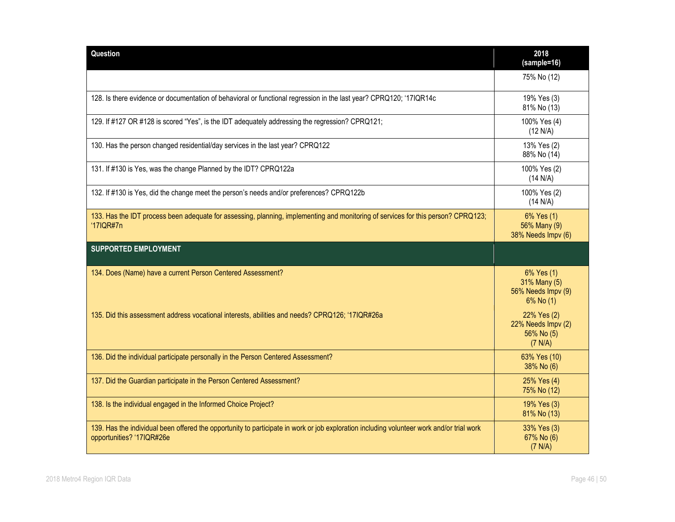| Question                                                                                                                                                               | 2018<br>(sample=16)                                           |
|------------------------------------------------------------------------------------------------------------------------------------------------------------------------|---------------------------------------------------------------|
|                                                                                                                                                                        | 75% No (12)                                                   |
| 128. Is there evidence or documentation of behavioral or functional regression in the last year? CPRQ120; '17IQR14c                                                    | 19% Yes (3)<br>81% No (13)                                    |
| 129. If #127 OR #128 is scored "Yes", is the IDT adequately addressing the regression? CPRQ121;                                                                        | 100% Yes (4)<br>(12 N/A)                                      |
| 130. Has the person changed residential/day services in the last year? CPRQ122                                                                                         | 13% Yes (2)<br>88% No (14)                                    |
| 131. If #130 is Yes, was the change Planned by the IDT? CPRQ122a                                                                                                       | 100% Yes (2)<br>(14 N/A)                                      |
| 132. If #130 is Yes, did the change meet the person's needs and/or preferences? CPRQ122b                                                                               | 100% Yes (2)<br>(14 N/A)                                      |
| 133. Has the IDT process been adequate for assessing, planning, implementing and monitoring of services for this person? CPRQ123;<br>'17IQR#7n                         | 6% Yes (1)<br>56% Many (9)<br>38% Needs Impv (6)              |
| <b>SUPPORTED EMPLOYMENT</b>                                                                                                                                            |                                                               |
| 134. Does (Name) have a current Person Centered Assessment?                                                                                                            | 6% Yes (1)<br>31% Many (5)<br>56% Needs Impv (9)<br>6% No (1) |
| 135. Did this assessment address vocational interests, abilities and needs? CPRQ126; '17IQR#26a                                                                        | 22% Yes (2)<br>22% Needs Impv (2)<br>56% No (5)<br>(7 N/A)    |
| 136. Did the individual participate personally in the Person Centered Assessment?                                                                                      | 63% Yes (10)<br>38% No (6)                                    |
| 137. Did the Guardian participate in the Person Centered Assessment?                                                                                                   | 25% Yes (4)<br>75% No (12)                                    |
| 138. Is the individual engaged in the Informed Choice Project?                                                                                                         | 19% Yes (3)<br>81% No (13)                                    |
| 139. Has the individual been offered the opportunity to participate in work or job exploration including volunteer work and/or trial work<br>opportunities? '17IQR#26e | 33% Yes (3)<br>67% No (6)<br>(7 N/A)                          |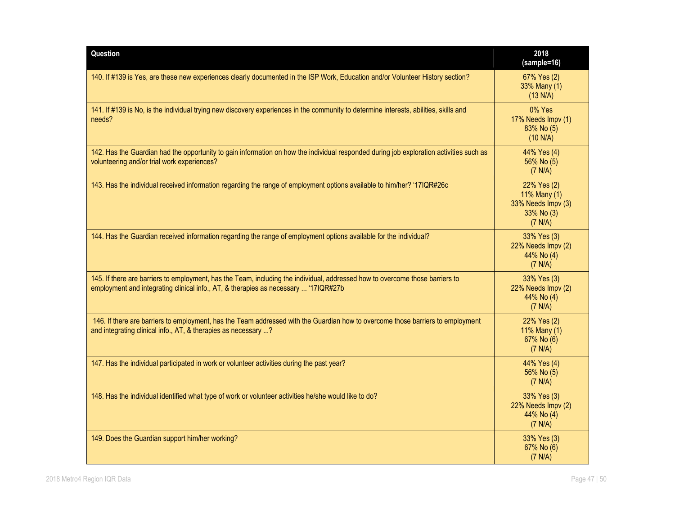| Question                                                                                                                                                                                                             | 2018<br>(sample=16)                                                        |
|----------------------------------------------------------------------------------------------------------------------------------------------------------------------------------------------------------------------|----------------------------------------------------------------------------|
| 140. If #139 is Yes, are these new experiences clearly documented in the ISP Work, Education and/or Volunteer History section?                                                                                       | 67% Yes (2)<br>33% Many (1)<br>(13 N/A)                                    |
| 141. If #139 is No, is the individual trying new discovery experiences in the community to determine interests, abilities, skills and<br>needs?                                                                      | $0\%$ Yes<br>17% Needs Impv (1)<br>83% No (5)<br>(10 N/A)                  |
| 142. Has the Guardian had the opportunity to gain information on how the individual responded during job exploration activities such as<br>volunteering and/or trial work experiences?                               | 44% Yes (4)<br>56% No (5)<br>(7 N/A)                                       |
| 143. Has the individual received information regarding the range of employment options available to him/her? '17IQR#26c                                                                                              | 22% Yes (2)<br>11% Many (1)<br>33% Needs Impv (3)<br>33% No (3)<br>(7 N/A) |
| 144. Has the Guardian received information regarding the range of employment options available for the individual?                                                                                                   | 33% Yes (3)<br>22% Needs Impv (2)<br>44% No (4)<br>(7 N/A)                 |
| 145. If there are barriers to employment, has the Team, including the individual, addressed how to overcome those barriers to<br>employment and integrating clinical info., AT, & therapies as necessary  '17IQR#27b | 33% Yes (3)<br>22% Needs Impv (2)<br>44% No (4)<br>(7 N/A)                 |
| 146. If there are barriers to employment, has the Team addressed with the Guardian how to overcome those barriers to employment<br>and integrating clinical info., AT, & therapies as necessary ?                    | 22% Yes (2)<br>11% Many (1)<br>67% No (6)<br>(7 N/A)                       |
| 147. Has the individual participated in work or volunteer activities during the past year?                                                                                                                           | 44% Yes (4)<br>56% No (5)<br>(7 N/A)                                       |
| 148. Has the individual identified what type of work or volunteer activities he/she would like to do?                                                                                                                | 33% Yes (3)<br>22% Needs Impv (2)<br>44% No (4)<br>(7 N/A)                 |
| 149. Does the Guardian support him/her working?                                                                                                                                                                      | 33% Yes (3)<br>67% No (6)<br>(7 N/A)                                       |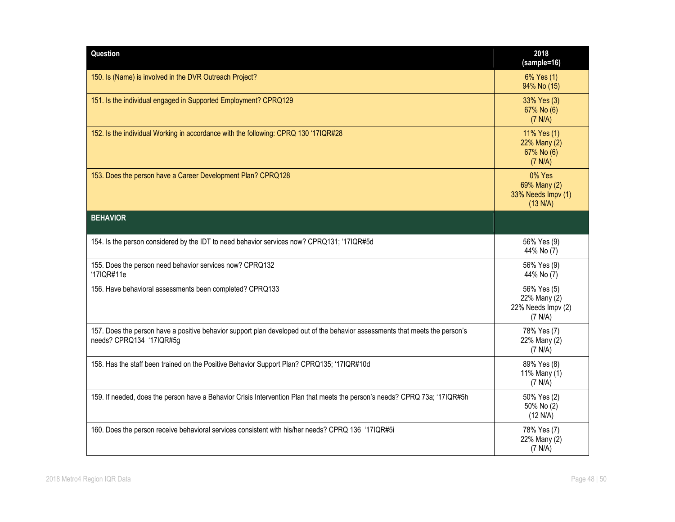| Question                                                                                                                                                 | 2018<br>(sample=16)                                          |
|----------------------------------------------------------------------------------------------------------------------------------------------------------|--------------------------------------------------------------|
| 150. Is (Name) is involved in the DVR Outreach Project?                                                                                                  | 6% Yes (1)<br>94% No (15)                                    |
| 151. Is the individual engaged in Supported Employment? CPRQ129                                                                                          | 33% Yes (3)<br>67% No (6)<br>(7 N/A)                         |
| 152. Is the individual Working in accordance with the following: CPRQ 130 '17IQR#28                                                                      | 11% Yes (1)<br>22% Many (2)<br>67% No (6)<br>(7 N/A)         |
| 153. Does the person have a Career Development Plan? CPRQ128                                                                                             | 0% Yes<br>69% Many (2)<br>33% Needs Impv (1)<br>(13 N/A)     |
| <b>BEHAVIOR</b>                                                                                                                                          |                                                              |
| 154. Is the person considered by the IDT to need behavior services now? CPRQ131; '17IQR#5d                                                               | 56% Yes (9)<br>44% No (7)                                    |
| 155. Does the person need behavior services now? CPRQ132<br>'17IQR#11e                                                                                   | 56% Yes (9)<br>44% No (7)                                    |
| 156. Have behavioral assessments been completed? CPRQ133                                                                                                 | 56% Yes (5)<br>22% Many (2)<br>22% Needs Impv (2)<br>(7 N/A) |
| 157. Does the person have a positive behavior support plan developed out of the behavior assessments that meets the person's<br>needs? CPRQ134 '17IQR#5g | 78% Yes (7)<br>22% Many (2)<br>(7 N/A)                       |
| 158. Has the staff been trained on the Positive Behavior Support Plan? CPRQ135; '17IQR#10d                                                               | 89% Yes (8)<br>11% Many (1)<br>(7 N/A)                       |
| 159. If needed, does the person have a Behavior Crisis Intervention Plan that meets the person's needs? CPRQ 73a; '17IQR#5h                              | 50% Yes (2)<br>50% No (2)<br>(12 N/A)                        |
| 160. Does the person receive behavioral services consistent with his/her needs? CPRQ 136 '17IQR#5i                                                       | 78% Yes (7)<br>22% Many (2)<br>(7 N/A)                       |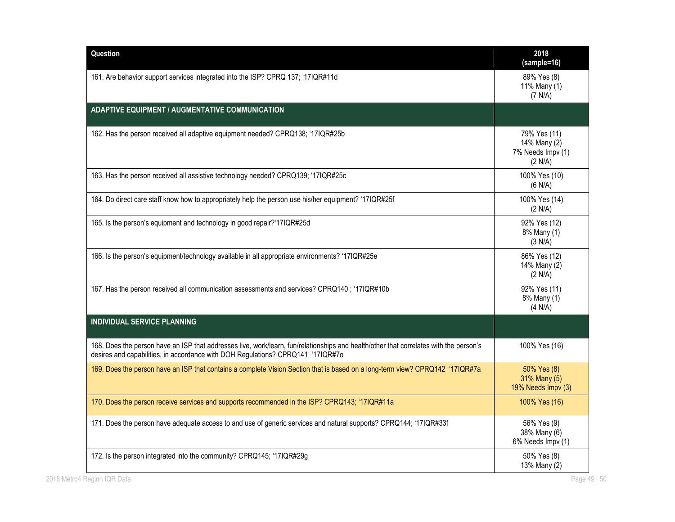| Question                                                                                                                                                                                                                  | 2018<br>(sample=16)                                          |
|---------------------------------------------------------------------------------------------------------------------------------------------------------------------------------------------------------------------------|--------------------------------------------------------------|
| 161. Are behavior support services integrated into the ISP? CPRQ 137; '17IQR#11d                                                                                                                                          | 89% Yes (8)<br>11% Many (1)<br>(7 N/A)                       |
| <b>ADAPTIVE EQUIPMENT / AUGMENTATIVE COMMUNICATION</b>                                                                                                                                                                    |                                                              |
| 162. Has the person received all adaptive equipment needed? CPRQ138; '17IQR#25b                                                                                                                                           | 79% Yes (11)<br>14% Many (2)<br>7% Needs Impv (1)<br>(2 N/A) |
| 163. Has the person received all assistive technology needed? CPRQ139; '17IQR#25c                                                                                                                                         | 100% Yes (10)<br>(6 N/A)                                     |
| 164. Do direct care staff know how to appropriately help the person use his/her equipment? '17IQR#25f                                                                                                                     | 100% Yes (14)<br>(2 N/A)                                     |
| 165. Is the person's equipment and technology in good repair?'17IQR#25d                                                                                                                                                   | 92% Yes (12)<br>8% Many (1)<br>(3 N/A)                       |
| 166. Is the person's equipment/technology available in all appropriate environments? '17IQR#25e                                                                                                                           | 86% Yes (12)<br>14% Many (2)<br>(2 N/A)                      |
| 167. Has the person received all communication assessments and services? CPRQ140; '17IQR#10b                                                                                                                              | 92% Yes (11)<br>8% Many (1)<br>(4 N/A)                       |
| INDIVIDUAL SERVICE PLANNING                                                                                                                                                                                               |                                                              |
| 168. Does the person have an ISP that addresses live, work/learn, fun/relationships and health/other that correlates with the person's<br>desires and capabilities, in accordance with DOH Regulations? CPRQ141 '17IQR#7o | 100% Yes (16)                                                |
| 169. Does the person have an ISP that contains a complete Vision Section that is based on a long-term view? CPRQ142 '17IQR#7a                                                                                             | 50% Yes (8)<br>31% Many (5)<br>19% Needs Impv (3)            |
| 170. Does the person receive services and supports recommended in the ISP? CPRQ143; '17IQR#11a                                                                                                                            | 100% Yes (16)                                                |
| 171. Does the person have adequate access to and use of generic services and natural supports? CPRQ144; '17IQR#33f                                                                                                        | 56% Yes (9)<br>38% Many (6)<br>6% Needs Impv (1)             |
| 172. Is the person integrated into the community? CPRQ145; '17IQR#29g                                                                                                                                                     | 50% Yes (8)<br>13% Many (2)                                  |